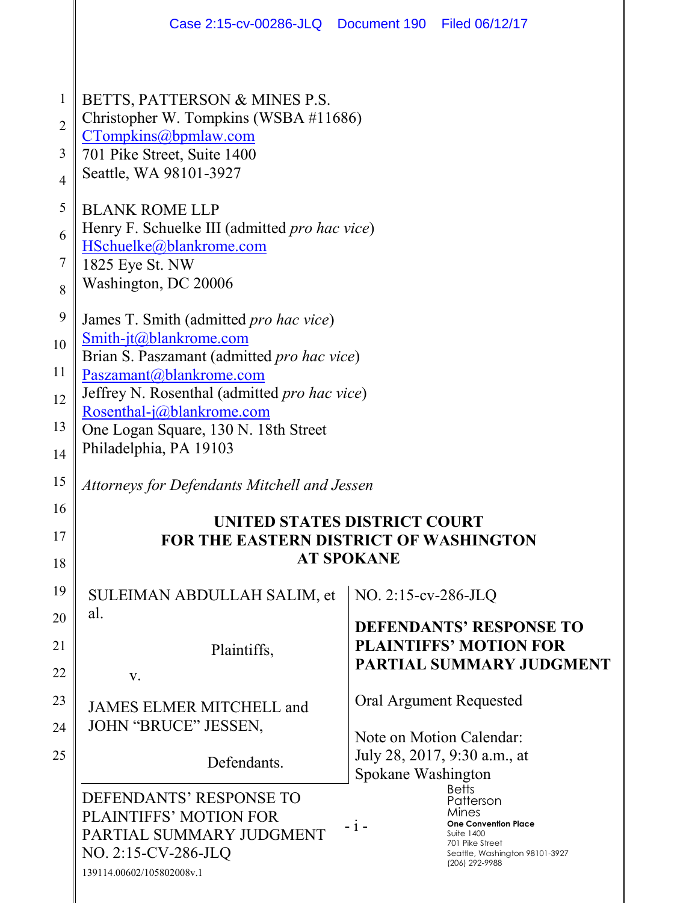|                                                                                                                     | Case 2:15-cv-00286-JLQ  Document 190  Filed 06/12/17                                                                                                                                                                                                                                                                                                                                                                                                                                                                                                                      |                                                    |                                                                                                                                                                                                                                                         |
|---------------------------------------------------------------------------------------------------------------------|---------------------------------------------------------------------------------------------------------------------------------------------------------------------------------------------------------------------------------------------------------------------------------------------------------------------------------------------------------------------------------------------------------------------------------------------------------------------------------------------------------------------------------------------------------------------------|----------------------------------------------------|---------------------------------------------------------------------------------------------------------------------------------------------------------------------------------------------------------------------------------------------------------|
| $\mathbf{1}$<br>$\overline{2}$<br>3<br>$\overline{4}$<br>5<br>6<br>$\overline{7}$<br>8<br>9<br>10<br>11<br>12<br>13 | BETTS, PATTERSON & MINES P.S.<br>Christopher W. Tompkins (WSBA #11686)<br>CTompkins@bpmlaw.com<br>701 Pike Street, Suite 1400<br>Seattle, WA 98101-3927<br><b>BLANK ROME LLP</b><br>Henry F. Schuelke III (admitted pro hac vice)<br>HSchuelke@blankrome.com<br>1825 Eye St. NW<br>Washington, DC 20006<br>James T. Smith (admitted pro hac vice)<br>Smith-jt@blankrome.com<br>Brian S. Paszamant (admitted pro hac vice)<br>Paszamant@blankrome.com<br>Jeffrey N. Rosenthal (admitted pro hac vice)<br>Rosenthal-j@blankrome.com<br>One Logan Square, 130 N. 18th Street |                                                    |                                                                                                                                                                                                                                                         |
| 14<br>15                                                                                                            | Philadelphia, PA 19103<br>Attorneys for Defendants Mitchell and Jessen                                                                                                                                                                                                                                                                                                                                                                                                                                                                                                    |                                                    |                                                                                                                                                                                                                                                         |
| 16<br>17<br>18                                                                                                      | UNITED STATES DISTRICT COURT<br><b>FOR THE EASTERN DISTRICT OF WASHINGTON</b>                                                                                                                                                                                                                                                                                                                                                                                                                                                                                             | <b>AT SPOKANE</b>                                  |                                                                                                                                                                                                                                                         |
| 19<br>20<br>21<br>22<br>23<br>24<br>25                                                                              | SULEIMAN ABDULLAH SALIM, et<br>al.<br>Plaintiffs,<br>V.<br>JAMES ELMER MITCHELL and<br>JOHN "BRUCE" JESSEN,<br>Defendants.<br>DEFENDANTS' RESPONSE TO<br>PLAINTIFFS' MOTION FOR                                                                                                                                                                                                                                                                                                                                                                                           | NO. 2:15-cv-286-JLQ<br>Spokane Washington<br>$-1-$ | <b>DEFENDANTS' RESPONSE TO</b><br><b>PLAINTIFFS' MOTION FOR</b><br>PARTIAL SUMMARY JUDGMENT<br>Oral Argument Requested<br>Note on Motion Calendar:<br>July 28, 2017, 9:30 a.m., at<br><b>Betts</b><br>Patterson<br>Mines<br><b>One Convention Place</b> |
|                                                                                                                     | PARTIAL SUMMARY JUDGMENT<br>NO. 2:15-CV-286-JLQ<br>139114.00602/105802008v.1                                                                                                                                                                                                                                                                                                                                                                                                                                                                                              |                                                    | <b>Suite 1400</b><br>701 Pike Street<br>Seattle, Washington 98101-3927<br>(206) 292-9988                                                                                                                                                                |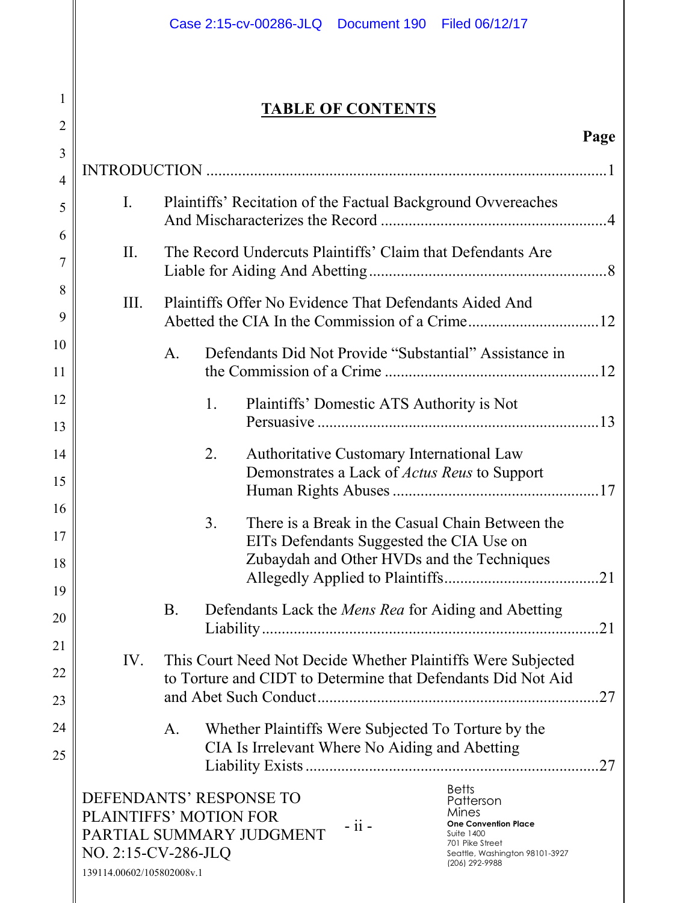# **TABLE OF CONTENTS**

| $\overline{2}$      |                                                                                                                                                                                                                                                                                                               |                                                              |                                                            |                                                     |  |                                                                                                                              | Page |
|---------------------|---------------------------------------------------------------------------------------------------------------------------------------------------------------------------------------------------------------------------------------------------------------------------------------------------------------|--------------------------------------------------------------|------------------------------------------------------------|-----------------------------------------------------|--|------------------------------------------------------------------------------------------------------------------------------|------|
| 3                   |                                                                                                                                                                                                                                                                                                               |                                                              |                                                            |                                                     |  |                                                                                                                              |      |
| $\overline{4}$<br>5 | $I_{\cdot}$                                                                                                                                                                                                                                                                                                   | Plaintiffs' Recitation of the Factual Background Ovvereaches |                                                            |                                                     |  |                                                                                                                              |      |
| 6                   |                                                                                                                                                                                                                                                                                                               |                                                              |                                                            |                                                     |  |                                                                                                                              |      |
| 7                   | II.                                                                                                                                                                                                                                                                                                           |                                                              | The Record Undercuts Plaintiffs' Claim that Defendants Are |                                                     |  |                                                                                                                              |      |
| 8<br>9              | III.                                                                                                                                                                                                                                                                                                          | Plaintiffs Offer No Evidence That Defendants Aided And       |                                                            |                                                     |  |                                                                                                                              |      |
| 10<br>11            |                                                                                                                                                                                                                                                                                                               | A <sub>1</sub>                                               |                                                            |                                                     |  | Defendants Did Not Provide "Substantial" Assistance in                                                                       |      |
| 12                  |                                                                                                                                                                                                                                                                                                               |                                                              | 1.                                                         | Plaintiffs' Domestic ATS Authority is Not           |  |                                                                                                                              |      |
| 13<br>14            |                                                                                                                                                                                                                                                                                                               |                                                              | 2.                                                         | Authoritative Customary International Law           |  |                                                                                                                              |      |
| 15                  |                                                                                                                                                                                                                                                                                                               |                                                              |                                                            | Demonstrates a Lack of <i>Actus Reus</i> to Support |  |                                                                                                                              |      |
| 16<br>17            |                                                                                                                                                                                                                                                                                                               |                                                              | 3 <sub>1</sub>                                             | EITs Defendants Suggested the CIA Use on            |  | There is a Break in the Casual Chain Between the                                                                             |      |
| 18                  |                                                                                                                                                                                                                                                                                                               |                                                              |                                                            | Zubaydah and Other HVDs and the Techniques          |  |                                                                                                                              |      |
| 19<br>20            |                                                                                                                                                                                                                                                                                                               | <b>B.</b>                                                    |                                                            |                                                     |  | Defendants Lack the <i>Mens Rea</i> for Aiding and Abetting                                                                  |      |
| 21                  |                                                                                                                                                                                                                                                                                                               |                                                              |                                                            |                                                     |  |                                                                                                                              |      |
| 22                  | IV.                                                                                                                                                                                                                                                                                                           |                                                              |                                                            |                                                     |  | This Court Need Not Decide Whether Plaintiffs Were Subjected<br>to Torture and CIDT to Determine that Defendants Did Not Aid |      |
| 23                  |                                                                                                                                                                                                                                                                                                               |                                                              |                                                            |                                                     |  |                                                                                                                              |      |
| 24                  |                                                                                                                                                                                                                                                                                                               | A.                                                           |                                                            | Whether Plaintiffs Were Subjected To Torture by the |  |                                                                                                                              |      |
| 25                  |                                                                                                                                                                                                                                                                                                               |                                                              |                                                            | CIA Is Irrelevant Where No Aiding and Abetting      |  |                                                                                                                              |      |
|                     | <b>Betts</b><br>DEFENDANTS' RESPONSE TO<br>Patterson<br>Mines<br>PLAINTIFFS' MOTION FOR<br>$-ii -$<br><b>One Convention Place</b><br>PARTIAL SUMMARY JUDGMENT<br><b>Suite 1400</b><br>701 Pike Street<br>NO. 2:15-CV-286-JLQ<br>Seattle, Washington 98101-3927<br>(206) 292-9988<br>139114.00602/105802008v.1 |                                                              |                                                            |                                                     |  |                                                                                                                              |      |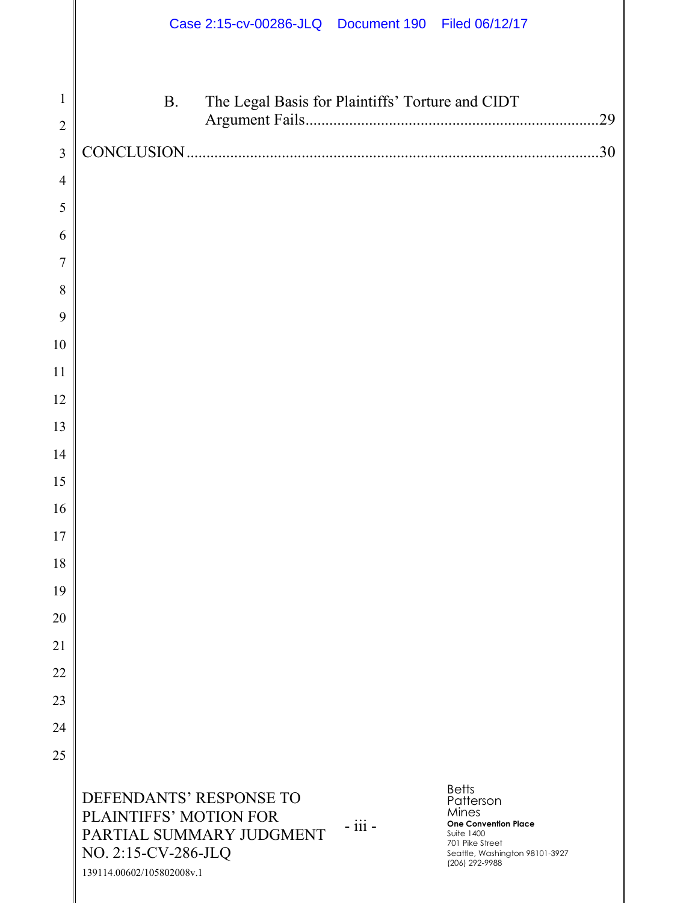|                |                                                                                                                                   | Case 2:15-cv-00286-JLQ  Document 190  Filed 06/12/17 |                                                                                                                                                               |     |
|----------------|-----------------------------------------------------------------------------------------------------------------------------------|------------------------------------------------------|---------------------------------------------------------------------------------------------------------------------------------------------------------------|-----|
| $\mathbf{1}$   | <b>B.</b>                                                                                                                         | The Legal Basis for Plaintiffs' Torture and CIDT     |                                                                                                                                                               |     |
| $\overline{2}$ |                                                                                                                                   |                                                      |                                                                                                                                                               | 29  |
| 3              |                                                                                                                                   |                                                      |                                                                                                                                                               | .30 |
| $\overline{4}$ |                                                                                                                                   |                                                      |                                                                                                                                                               |     |
| 5              |                                                                                                                                   |                                                      |                                                                                                                                                               |     |
| 6              |                                                                                                                                   |                                                      |                                                                                                                                                               |     |
| 7              |                                                                                                                                   |                                                      |                                                                                                                                                               |     |
| 8              |                                                                                                                                   |                                                      |                                                                                                                                                               |     |
| 9              |                                                                                                                                   |                                                      |                                                                                                                                                               |     |
| 10             |                                                                                                                                   |                                                      |                                                                                                                                                               |     |
| 11             |                                                                                                                                   |                                                      |                                                                                                                                                               |     |
| 12             |                                                                                                                                   |                                                      |                                                                                                                                                               |     |
| 13             |                                                                                                                                   |                                                      |                                                                                                                                                               |     |
| 14             |                                                                                                                                   |                                                      |                                                                                                                                                               |     |
| 15             |                                                                                                                                   |                                                      |                                                                                                                                                               |     |
| 16             |                                                                                                                                   |                                                      |                                                                                                                                                               |     |
| 17             |                                                                                                                                   |                                                      |                                                                                                                                                               |     |
| 18             |                                                                                                                                   |                                                      |                                                                                                                                                               |     |
| 19             |                                                                                                                                   |                                                      |                                                                                                                                                               |     |
| 20             |                                                                                                                                   |                                                      |                                                                                                                                                               |     |
| 21             |                                                                                                                                   |                                                      |                                                                                                                                                               |     |
| 22             |                                                                                                                                   |                                                      |                                                                                                                                                               |     |
| 23             |                                                                                                                                   |                                                      |                                                                                                                                                               |     |
| 24             |                                                                                                                                   |                                                      |                                                                                                                                                               |     |
| 25             |                                                                                                                                   |                                                      |                                                                                                                                                               |     |
|                | DEFENDANTS' RESPONSE TO<br>PLAINTIFFS' MOTION FOR<br>PARTIAL SUMMARY JUDGMENT<br>NO. 2:15-CV-286-JLQ<br>139114.00602/105802008v.1 | $-$ iii $-$                                          | <b>Betts</b><br>Patterson<br>Mines<br><b>One Convention Place</b><br><b>Suite 1400</b><br>701 Pike Street<br>Seattle, Washington 98101-3927<br>(206) 292-9988 |     |

 $\mathbf{I}$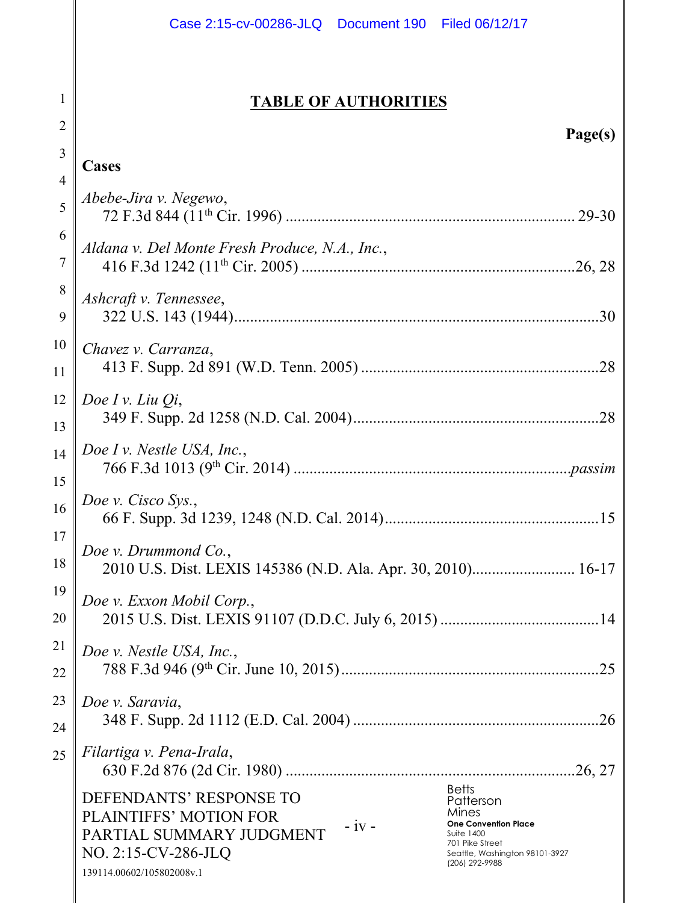|          | Case 2:15-cv-00286-JLQ  Document 190  Filed 06/12/17                                                                                                                                                                                                                                                                 |  |  |  |
|----------|----------------------------------------------------------------------------------------------------------------------------------------------------------------------------------------------------------------------------------------------------------------------------------------------------------------------|--|--|--|
|          |                                                                                                                                                                                                                                                                                                                      |  |  |  |
| 1        | <b>TABLE OF AUTHORITIES</b>                                                                                                                                                                                                                                                                                          |  |  |  |
| 2        | Page(s)                                                                                                                                                                                                                                                                                                              |  |  |  |
| 3        | Cases                                                                                                                                                                                                                                                                                                                |  |  |  |
| 4<br>5   | Abebe-Jira v. Negewo,                                                                                                                                                                                                                                                                                                |  |  |  |
| 6<br>7   | Aldana v. Del Monte Fresh Produce, N.A., Inc.,                                                                                                                                                                                                                                                                       |  |  |  |
| 8        | Ashcraft v. Tennessee,                                                                                                                                                                                                                                                                                               |  |  |  |
| 9        |                                                                                                                                                                                                                                                                                                                      |  |  |  |
| 10<br>11 | Chavez v. Carranza,                                                                                                                                                                                                                                                                                                  |  |  |  |
| 12       | Doe I v. Liu $Q_i$ ,                                                                                                                                                                                                                                                                                                 |  |  |  |
| 13       |                                                                                                                                                                                                                                                                                                                      |  |  |  |
| 14<br>15 | Doe I v. Nestle USA, Inc.,                                                                                                                                                                                                                                                                                           |  |  |  |
| 16       | Doe v. Cisco Sys.,                                                                                                                                                                                                                                                                                                   |  |  |  |
| 17<br>18 | Doe v. Drummond Co.,<br>2010 U.S. Dist. LEXIS 145386 (N.D. Ala. Apr. 30, 2010) 16-17                                                                                                                                                                                                                                 |  |  |  |
| 19<br>20 | Doe v. Exxon Mobil Corp.,                                                                                                                                                                                                                                                                                            |  |  |  |
| 21<br>22 | Doe v. Nestle USA, Inc.,                                                                                                                                                                                                                                                                                             |  |  |  |
| 23<br>24 | Doe v. Saravia,                                                                                                                                                                                                                                                                                                      |  |  |  |
| 25       | Filartiga v. Pena-Irala,                                                                                                                                                                                                                                                                                             |  |  |  |
|          | <b>Betts</b><br>DEFENDANTS' RESPONSE TO<br>Patterson<br>Mines<br><b>PLAINTIFFS' MOTION FOR</b><br>$-iv -$<br><b>One Convention Place</b><br>PARTIAL SUMMARY JUDGMENT<br><b>Suite 1400</b><br>701 Pike Street<br>NO. 2:15-CV-286-JLQ<br>Seattle, Washington 98101-3927<br>(206) 292-9988<br>139114.00602/105802008v.1 |  |  |  |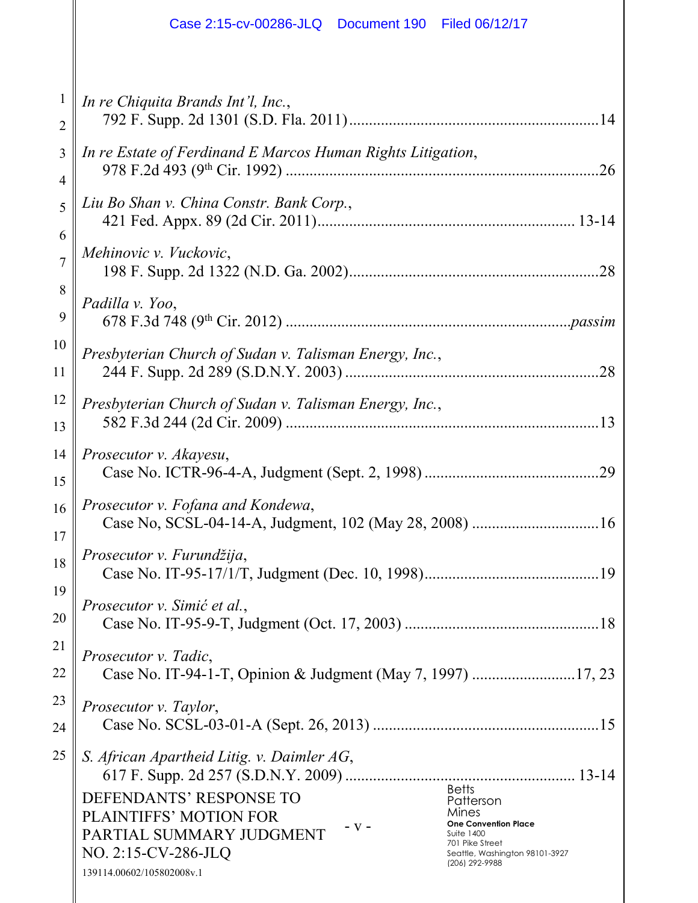|          | Case 2:15-cv-00286-JLQ  Document 190  Filed 06/12/17                                                                                                                                                                                                                                                                         |
|----------|------------------------------------------------------------------------------------------------------------------------------------------------------------------------------------------------------------------------------------------------------------------------------------------------------------------------------|
| 1        | In re Chiquita Brands Int'l, Inc.,                                                                                                                                                                                                                                                                                           |
| 2        |                                                                                                                                                                                                                                                                                                                              |
| 3        | In re Estate of Ferdinand E Marcos Human Rights Litigation,                                                                                                                                                                                                                                                                  |
| 4        | .26                                                                                                                                                                                                                                                                                                                          |
| 5        | Liu Bo Shan v. China Constr. Bank Corp.,                                                                                                                                                                                                                                                                                     |
| 6        | Mehinovic v. Vuckovic,                                                                                                                                                                                                                                                                                                       |
| 7        |                                                                                                                                                                                                                                                                                                                              |
| 8        | Padilla v. Yoo,                                                                                                                                                                                                                                                                                                              |
| 9        |                                                                                                                                                                                                                                                                                                                              |
| 10<br>11 | Presbyterian Church of Sudan v. Talisman Energy, Inc.,<br>.28                                                                                                                                                                                                                                                                |
| 12       | Presbyterian Church of Sudan v. Talisman Energy, Inc.,                                                                                                                                                                                                                                                                       |
| 13       |                                                                                                                                                                                                                                                                                                                              |
| 14<br>15 | Prosecutor v. Akayesu,<br>.29                                                                                                                                                                                                                                                                                                |
| 16       | Prosecutor v. Fofana and Kondewa,                                                                                                                                                                                                                                                                                            |
| 17       |                                                                                                                                                                                                                                                                                                                              |
| 18       | Prosecutor v. Furundžija,                                                                                                                                                                                                                                                                                                    |
| 19       | Prosecutor v. Simić et al.,                                                                                                                                                                                                                                                                                                  |
| 20       |                                                                                                                                                                                                                                                                                                                              |
| 21       | Prosecutor v. Tadic,                                                                                                                                                                                                                                                                                                         |
| 22       |                                                                                                                                                                                                                                                                                                                              |
| 23       | Prosecutor v. Taylor,                                                                                                                                                                                                                                                                                                        |
| 24       |                                                                                                                                                                                                                                                                                                                              |
| 25       | S. African Apartheid Litig. v. Daimler AG,<br><b>Betts</b><br>DEFENDANTS' RESPONSE TO<br>Patterson<br>Mines<br>PLAINTIFFS' MOTION FOR<br>- V -<br><b>One Convention Place</b><br>PARTIAL SUMMARY JUDGMENT<br><b>Suite 1400</b><br>701 Pike Street<br>NO. 2:15-CV-286-JLQ<br>Seattle, Washington 98101-3927<br>(206) 292-9988 |
|          | 139114.00602/105802008v.1                                                                                                                                                                                                                                                                                                    |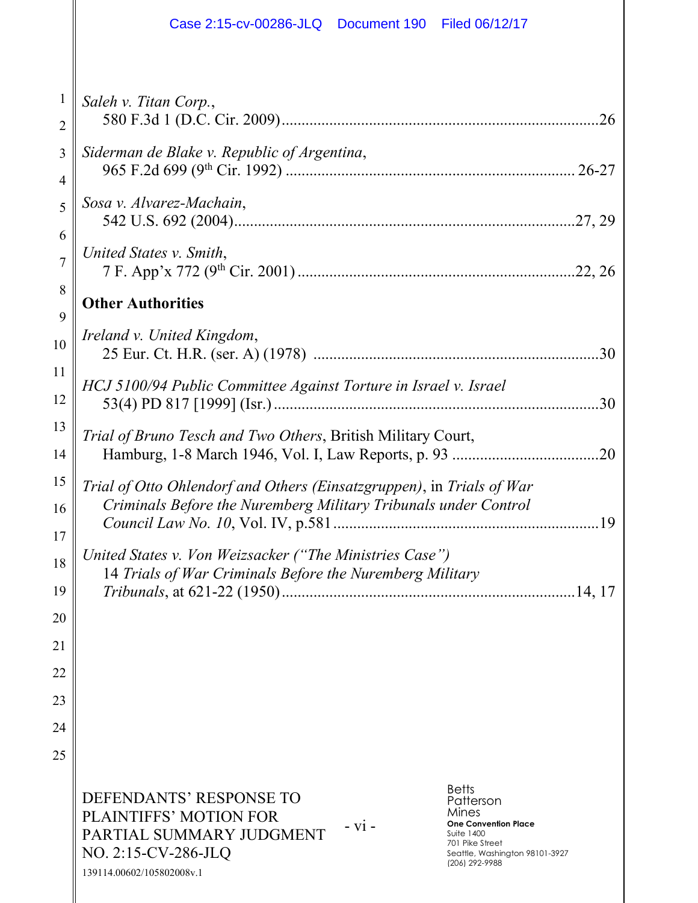|                                | Case 2:15-cv-00286-JLQ<br>Document 190   Filed 06/12/17                                                                                                                                                                                                                                                        |
|--------------------------------|----------------------------------------------------------------------------------------------------------------------------------------------------------------------------------------------------------------------------------------------------------------------------------------------------------------|
| $\mathbf{1}$<br>$\overline{2}$ | Saleh v. Titan Corp.,                                                                                                                                                                                                                                                                                          |
| 3<br>4                         | Siderman de Blake v. Republic of Argentina,                                                                                                                                                                                                                                                                    |
| 5<br>6                         | Sosa v. Alvarez-Machain,                                                                                                                                                                                                                                                                                       |
| $\overline{7}$                 | United States v. Smith,                                                                                                                                                                                                                                                                                        |
| 8<br>9                         | <b>Other Authorities</b>                                                                                                                                                                                                                                                                                       |
| 10                             | Ireland v. United Kingdom,                                                                                                                                                                                                                                                                                     |
| 11<br>12                       | HCJ 5100/94 Public Committee Against Torture in Israel v. Israel<br>.30                                                                                                                                                                                                                                        |
| 13<br>14                       | Trial of Bruno Tesch and Two Others, British Military Court,<br>.20                                                                                                                                                                                                                                            |
| 15<br>16<br>17                 | Trial of Otto Ohlendorf and Others (Einsatzgruppen), in Trials of War<br>Criminals Before the Nuremberg Military Tribunals under Control                                                                                                                                                                       |
| 18<br>19                       | United States v. Von Weizsacker ("The Ministries Case")<br>14 Trials of War Criminals Before the Nuremberg Military                                                                                                                                                                                            |
| 20                             |                                                                                                                                                                                                                                                                                                                |
| 21<br>22                       |                                                                                                                                                                                                                                                                                                                |
| 23                             |                                                                                                                                                                                                                                                                                                                |
| 24                             |                                                                                                                                                                                                                                                                                                                |
| 25                             |                                                                                                                                                                                                                                                                                                                |
|                                | <b>Betts</b><br>DEFENDANTS' RESPONSE TO<br>Patterson<br>Mines<br>PLAINTIFFS' MOTION FOR<br><b>One Convention Place</b><br>$- vi -$<br>PARTIAL SUMMARY JUDGMENT<br><b>Suite 1400</b><br>701 Pike Street<br>NO. 2:15-CV-286-JLQ<br>Seattle, Washington 98101-3927<br>(206) 292-9988<br>139114.00602/105802008v.1 |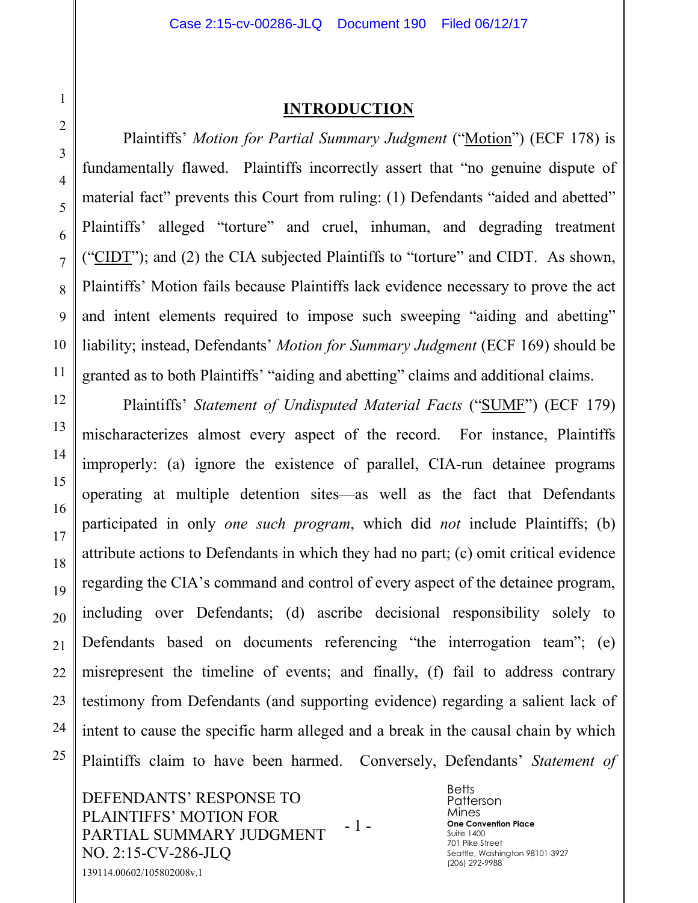#### **INTRODUCTION**

Plaintiffs' *Motion for Partial Summary Judgment* ("Motion") (ECF 178) is fundamentally flawed. Plaintiffs incorrectly assert that "no genuine dispute of material fact" prevents this Court from ruling: (1) Defendants "aided and abetted" Plaintiffs' alleged "torture" and cruel, inhuman, and degrading treatment ("CIDT"); and (2) the CIA subjected Plaintiffs to "torture" and CIDT. As shown, Plaintiffs' Motion fails because Plaintiffs lack evidence necessary to prove the act and intent elements required to impose such sweeping "aiding and abetting" liability; instead, Defendants' *Motion for Summary Judgment* (ECF 169) should be granted as to both Plaintiffs' "aiding and abetting" claims and additional claims.

Plaintiffs' *Statement of Undisputed Material Facts* ("SUMF") (ECF 179) mischaracterizes almost every aspect of the record. For instance, Plaintiffs improperly: (a) ignore the existence of parallel, CIA-run detainee programs operating at multiple detention sites—as well as the fact that Defendants participated in only *one such program*, which did *not* include Plaintiffs; (b) attribute actions to Defendants in which they had no part; (c) omit critical evidence regarding the CIA's command and control of every aspect of the detainee program, including over Defendants; (d) ascribe decisional responsibility solely to Defendants based on documents referencing "the interrogation team"; (e) misrepresent the timeline of events; and finally, (f) fail to address contrary testimony from Defendants (and supporting evidence) regarding a salient lack of intent to cause the specific harm alleged and a break in the causal chain by which Plaintiffs claim to have been harmed. Conversely, Defendants' *Statement of* 

DEFENDANTS' RESPONSE TO PLAINTIFFS' MOTION FOR PARTIAL SUMMARY JUDGMENT NO. 2:15-CV-286-JLQ - 1 - 139114.00602/105802008v.1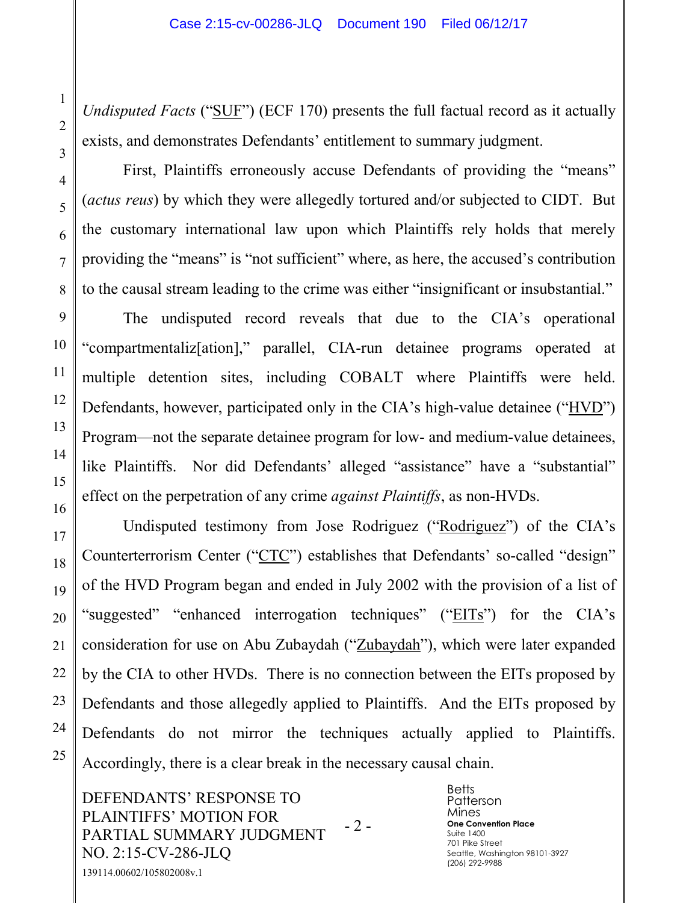*Undisputed Facts* ("SUF") (ECF 170) presents the full factual record as it actually exists, and demonstrates Defendants' entitlement to summary judgment.

First, Plaintiffs erroneously accuse Defendants of providing the "means" (*actus reus*) by which they were allegedly tortured and/or subjected to CIDT. But the customary international law upon which Plaintiffs rely holds that merely providing the "means" is "not sufficient" where, as here, the accused's contribution to the causal stream leading to the crime was either "insignificant or insubstantial."

The undisputed record reveals that due to the CIA's operational "compartmentaliz[ation]," parallel, CIA-run detainee programs operated at multiple detention sites, including COBALT where Plaintiffs were held. Defendants, however, participated only in the CIA's high-value detainee ("HVD") Program—not the separate detainee program for low- and medium-value detainees, like Plaintiffs. Nor did Defendants' alleged "assistance" have a "substantial" effect on the perpetration of any crime *against Plaintiffs*, as non-HVDs.

Undisputed testimony from Jose Rodriguez ("Rodriguez") of the CIA's Counterterrorism Center ("CTC") establishes that Defendants' so-called "design" of the HVD Program began and ended in July 2002 with the provision of a list of "suggested" "enhanced interrogation techniques" ("EITs") for the CIA's consideration for use on Abu Zubaydah ("Zubaydah"), which were later expanded by the CIA to other HVDs. There is no connection between the EITs proposed by Defendants and those allegedly applied to Plaintiffs. And the EITs proposed by Defendants do not mirror the techniques actually applied to Plaintiffs. Accordingly, there is a clear break in the necessary causal chain.

DEFENDANTS' RESPONSE TO PLAINTIFFS' MOTION FOR PARTIAL SUMMARY JUDGMENT NO. 2:15-CV-286-JLQ - 2 - 139114.00602/105802008v.1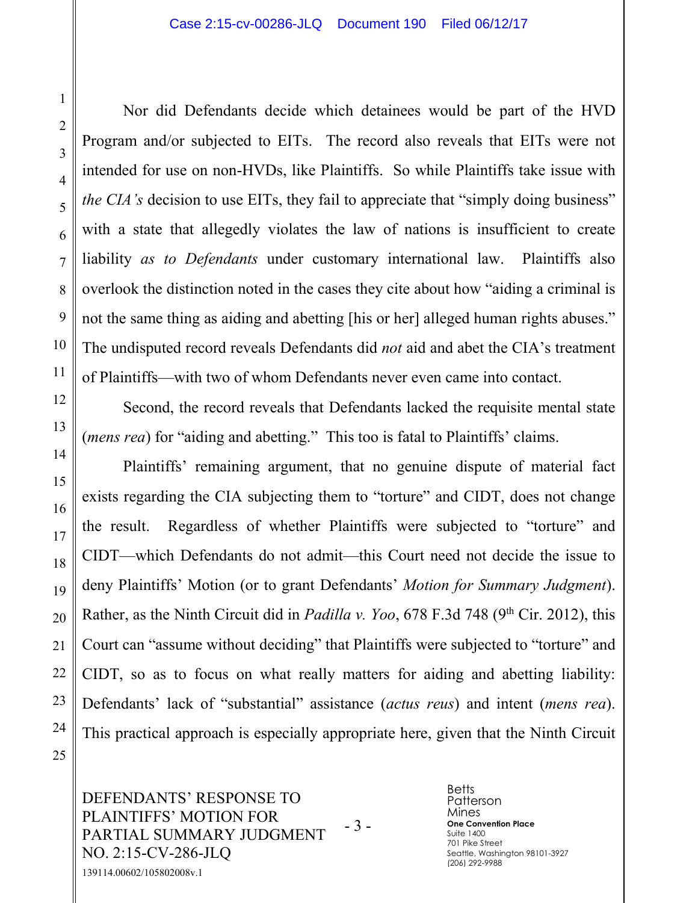Nor did Defendants decide which detainees would be part of the HVD Program and/or subjected to EITs. The record also reveals that EITs were not intended for use on non-HVDs, like Plaintiffs. So while Plaintiffs take issue with *the CIA's* decision to use EITs, they fail to appreciate that "simply doing business" with a state that allegedly violates the law of nations is insufficient to create liability *as to Defendants* under customary international law. Plaintiffs also overlook the distinction noted in the cases they cite about how "aiding a criminal is not the same thing as aiding and abetting [his or her] alleged human rights abuses." The undisputed record reveals Defendants did *not* aid and abet the CIA's treatment of Plaintiffs—with two of whom Defendants never even came into contact.

Second, the record reveals that Defendants lacked the requisite mental state (*mens rea*) for "aiding and abetting." This too is fatal to Plaintiffs' claims.

Plaintiffs' remaining argument, that no genuine dispute of material fact exists regarding the CIA subjecting them to "torture" and CIDT, does not change the result. Regardless of whether Plaintiffs were subjected to "torture" and CIDT—which Defendants do not admit—this Court need not decide the issue to deny Plaintiffs' Motion (or to grant Defendants' *Motion for Summary Judgment*). Rather, as the Ninth Circuit did in *Padilla v. Yoo*, 678 F.3d 748 (9<sup>th</sup> Cir. 2012), this Court can "assume without deciding" that Plaintiffs were subjected to "torture" and CIDT, so as to focus on what really matters for aiding and abetting liability: Defendants' lack of "substantial" assistance (*actus reus*) and intent (*mens rea*). This practical approach is especially appropriate here, given that the Ninth Circuit

DEFENDANTS' RESPONSE TO PLAINTIFFS' MOTION FOR PARTIAL SUMMARY JUDGMENT NO. 2:15-CV-286-JLQ - 3 - 139114.00602/105802008v.1

**Betts** Patterson Mines **One Convention Place** Suite 1400 701 Pike Street Seattle, Washington 98101-3927 (206) 292-9988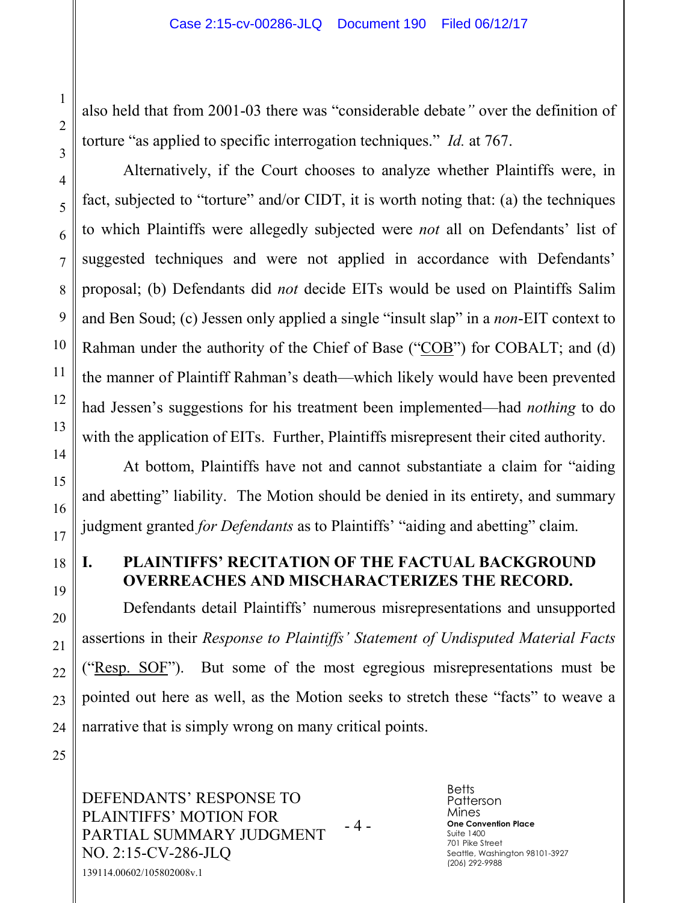also held that from 2001-03 there was "considerable debate*"* over the definition of torture "as applied to specific interrogation techniques." *Id.* at 767.

Alternatively, if the Court chooses to analyze whether Plaintiffs were, in fact, subjected to "torture" and/or CIDT, it is worth noting that: (a) the techniques to which Plaintiffs were allegedly subjected were *not* all on Defendants' list of suggested techniques and were not applied in accordance with Defendants' proposal; (b) Defendants did *not* decide EITs would be used on Plaintiffs Salim and Ben Soud; (c) Jessen only applied a single "insult slap" in a *non*-EIT context to Rahman under the authority of the Chief of Base ("COB") for COBALT; and (d) the manner of Plaintiff Rahman's death—which likely would have been prevented had Jessen's suggestions for his treatment been implemented—had *nothing* to do with the application of EITs. Further, Plaintiffs misrepresent their cited authority.

At bottom, Plaintiffs have not and cannot substantiate a claim for "aiding and abetting" liability. The Motion should be denied in its entirety, and summary judgment granted *for Defendants* as to Plaintiffs' "aiding and abetting" claim.

#### **I. PLAINTIFFS' RECITATION OF THE FACTUAL BACKGROUND OVERREACHES AND MISCHARACTERIZES THE RECORD.**

Defendants detail Plaintiffs' numerous misrepresentations and unsupported assertions in their *Response to Plaintiffs' Statement of Undisputed Material Facts* ("Resp. SOF"). But some of the most egregious misrepresentations must be pointed out here as well, as the Motion seeks to stretch these "facts" to weave a narrative that is simply wrong on many critical points.

DEFENDANTS' RESPONSE TO PLAINTIFFS' MOTION FOR PARTIAL SUMMARY JUDGMENT NO. 2:15-CV-286-JLQ - 4 - 139114.00602/105802008v.1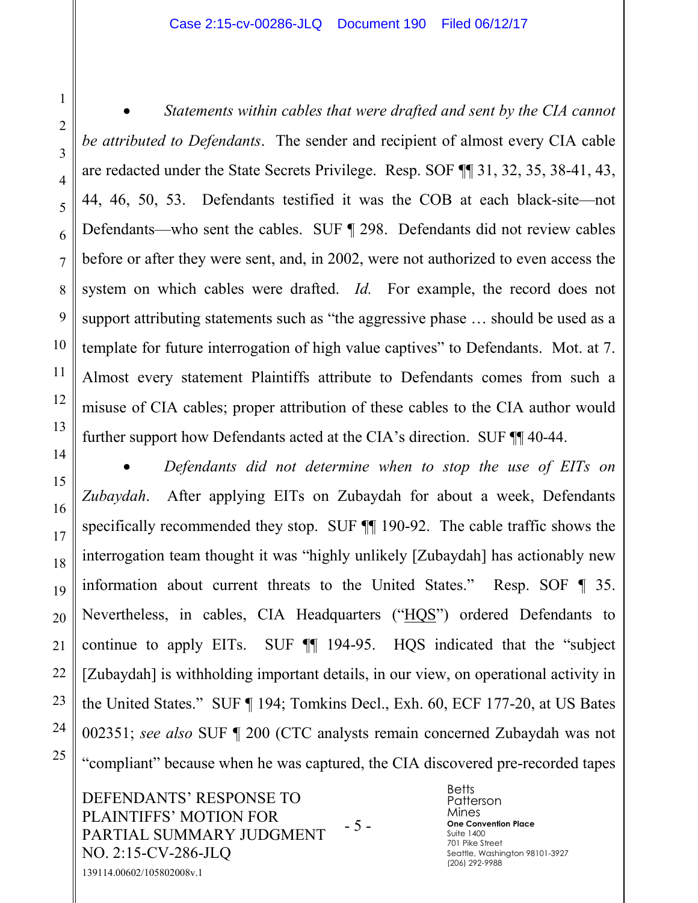#### Case 2:15-cv-00286-JLQ Document 190 Filed 06/12/17

1

2

3

4

5

6

7

8

9

10

11

12

13

14

15

16

17

18

19

20

21

22

23

24

25

• *Statements within cables that were drafted and sent by the CIA cannot be attributed to Defendants*. The sender and recipient of almost every CIA cable are redacted under the State Secrets Privilege. Resp. SOF ¶¶ 31, 32, 35, 38-41, 43, 44, 46, 50, 53. Defendants testified it was the COB at each black-site—not Defendants—who sent the cables. SUF ¶ 298. Defendants did not review cables before or after they were sent, and, in 2002, were not authorized to even access the system on which cables were drafted. *Id.* For example, the record does not support attributing statements such as "the aggressive phase … should be used as a template for future interrogation of high value captives" to Defendants. Mot. at 7. Almost every statement Plaintiffs attribute to Defendants comes from such a misuse of CIA cables; proper attribution of these cables to the CIA author would further support how Defendants acted at the CIA's direction. SUF  $\P$  40-44.

• *Defendants did not determine when to stop the use of EITs on Zubaydah*. After applying EITs on Zubaydah for about a week, Defendants specifically recommended they stop. SUF ¶¶ 190-92. The cable traffic shows the interrogation team thought it was "highly unlikely [Zubaydah] has actionably new information about current threats to the United States." Resp. SOF ¶ 35. Nevertheless, in cables, CIA Headquarters ("HQS") ordered Defendants to continue to apply EITs. SUF ¶¶ 194-95. HQS indicated that the "subject [Zubaydah] is withholding important details, in our view, on operational activity in the United States." SUF ¶ 194; Tomkins Decl., Exh. 60, ECF 177-20, at US Bates 002351; *see also* SUF ¶ 200 (CTC analysts remain concerned Zubaydah was not "compliant" because when he was captured, the CIA discovered pre-recorded tapes

DEFENDANTS' RESPONSE TO PLAINTIFFS' MOTION FOR PARTIAL SUMMARY JUDGMENT NO. 2:15-CV-286-JLQ - 5 - 139114.00602/105802008v.1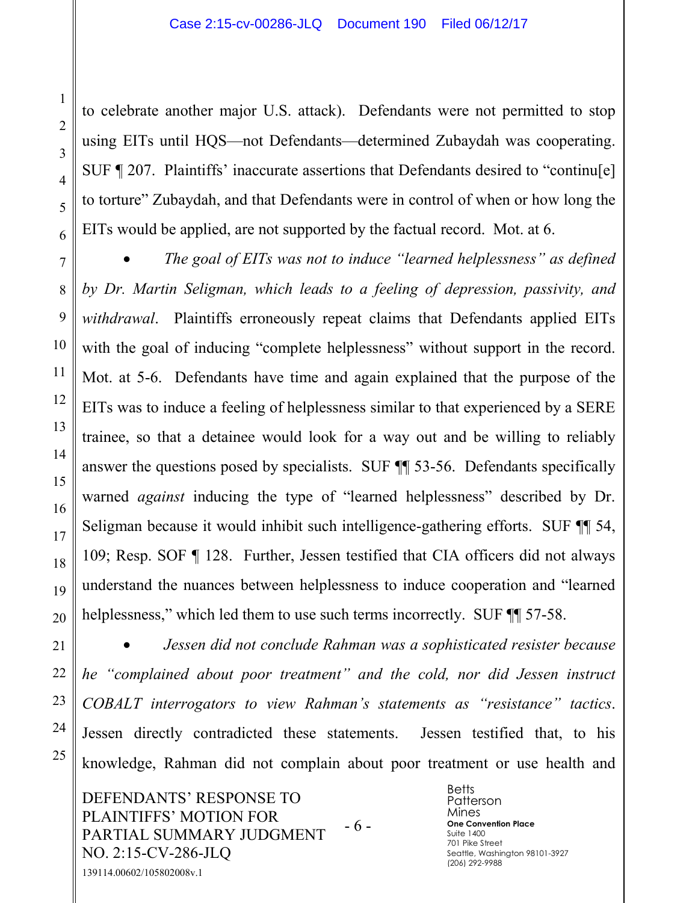to celebrate another major U.S. attack). Defendants were not permitted to stop using EITs until HQS—not Defendants—determined Zubaydah was cooperating. SUF ¶ 207. Plaintiffs' inaccurate assertions that Defendants desired to "continu[e] to torture" Zubaydah, and that Defendants were in control of when or how long the EITs would be applied, are not supported by the factual record. Mot. at 6.

• *The goal of EITs was not to induce "learned helplessness" as defined by Dr. Martin Seligman, which leads to a feeling of depression, passivity, and withdrawal*. Plaintiffs erroneously repeat claims that Defendants applied EITs with the goal of inducing "complete helplessness" without support in the record. Mot. at 5-6. Defendants have time and again explained that the purpose of the EITs was to induce a feeling of helplessness similar to that experienced by a SERE trainee, so that a detainee would look for a way out and be willing to reliably answer the questions posed by specialists. SUF ¶¶ 53-56. Defendants specifically warned *against* inducing the type of "learned helplessness" described by Dr. Seligman because it would inhibit such intelligence-gathering efforts. SUF ¶¶ 54, 109; Resp. SOF ¶ 128. Further, Jessen testified that CIA officers did not always understand the nuances between helplessness to induce cooperation and "learned helplessness," which led them to use such terms incorrectly. SUF  $\P$  57-58.

• *Jessen did not conclude Rahman was a sophisticated resister because he "complained about poor treatment" and the cold, nor did Jessen instruct COBALT interrogators to view Rahman's statements as "resistance" tactics*. Jessen directly contradicted these statements. Jessen testified that, to his knowledge, Rahman did not complain about poor treatment or use health and

DEFENDANTS' RESPONSE TO PLAINTIFFS' MOTION FOR PARTIAL SUMMARY JUDGMENT NO. 2:15-CV-286-JLQ - 6 - 139114.00602/105802008v.1

**Betts** Patterson Mines **One Convention Place** Suite 1400 701 Pike Street Seattle, Washington 98101-3927 (206) 292-9988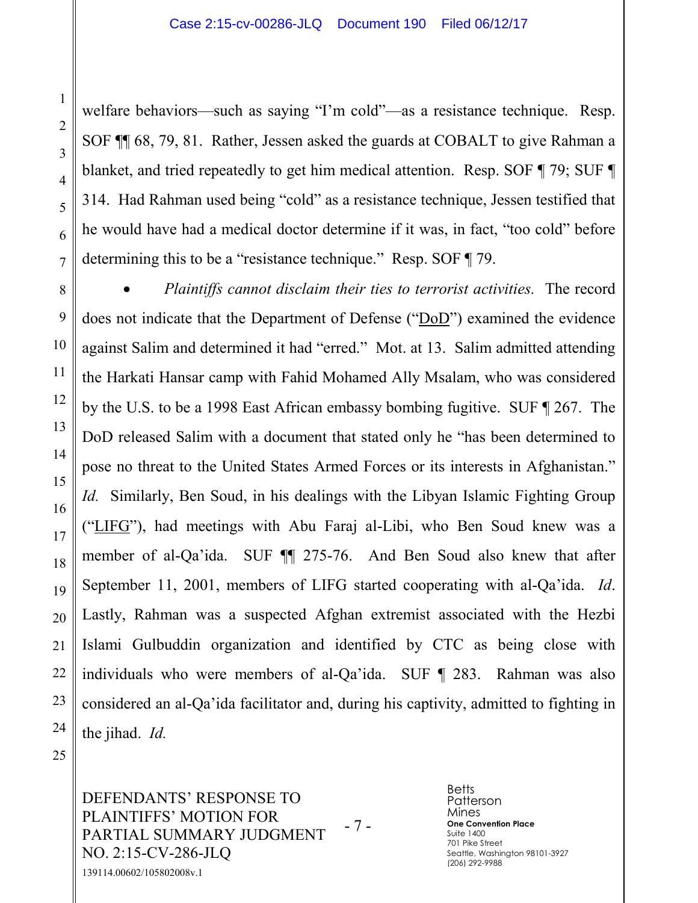welfare behaviors—such as saying "I'm cold"—as a resistance technique. Resp. SOF ¶¶ 68, 79, 81. Rather, Jessen asked the guards at COBALT to give Rahman a blanket, and tried repeatedly to get him medical attention. Resp. SOF ¶ 79; SUF ¶ 314. Had Rahman used being "cold" as a resistance technique, Jessen testified that he would have had a medical doctor determine if it was, in fact, "too cold" before determining this to be a "resistance technique." Resp. SOF ¶ 79.

• *Plaintiffs cannot disclaim their ties to terrorist activities.* The record does not indicate that the Department of Defense ("DoD") examined the evidence against Salim and determined it had "erred." Mot. at 13. Salim admitted attending the Harkati Hansar camp with Fahid Mohamed Ally Msalam, who was considered by the U.S. to be a 1998 East African embassy bombing fugitive. SUF ¶ 267. The DoD released Salim with a document that stated only he "has been determined to pose no threat to the United States Armed Forces or its interests in Afghanistan." *Id.* Similarly, Ben Soud, in his dealings with the Libyan Islamic Fighting Group ("LIFG"), had meetings with Abu Faraj al-Libi, who Ben Soud knew was a member of al-Qa'ida. SUF ¶¶ 275-76. And Ben Soud also knew that after September 11, 2001, members of LIFG started cooperating with al-Qa'ida. *Id*. Lastly, Rahman was a suspected Afghan extremist associated with the Hezbi Islami Gulbuddin organization and identified by CTC as being close with individuals who were members of al-Qa'ida. SUF ¶ 283. Rahman was also considered an al-Qa'ida facilitator and, during his captivity, admitted to fighting in the jihad. *Id.*

DEFENDANTS' RESPONSE TO PLAINTIFFS' MOTION FOR PARTIAL SUMMARY JUDGMENT NO. 2:15-CV-286-JLQ - 7 - 139114.00602/105802008v.1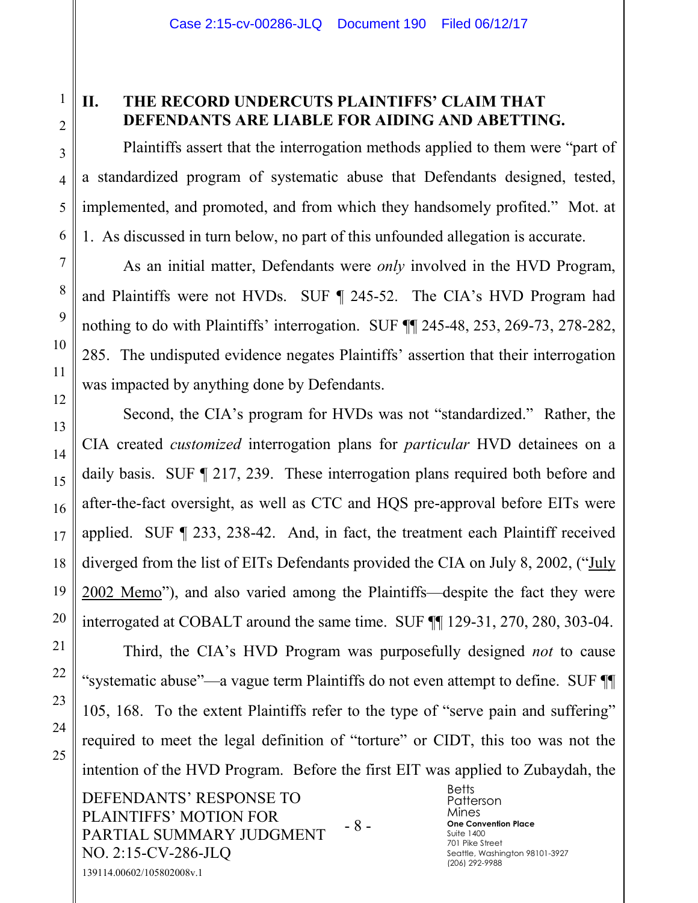# **II. THE RECORD UNDERCUTS PLAINTIFFS' CLAIM THAT DEFENDANTS ARE LIABLE FOR AIDING AND ABETTING.**

Plaintiffs assert that the interrogation methods applied to them were "part of a standardized program of systematic abuse that Defendants designed, tested, implemented, and promoted, and from which they handsomely profited." Mot. at 1. As discussed in turn below, no part of this unfounded allegation is accurate.

As an initial matter, Defendants were *only* involved in the HVD Program, and Plaintiffs were not HVDs. SUF ¶ 245-52. The CIA's HVD Program had nothing to do with Plaintiffs' interrogation. SUF ¶¶ 245-48, 253, 269-73, 278-282, 285. The undisputed evidence negates Plaintiffs' assertion that their interrogation was impacted by anything done by Defendants.

Second, the CIA's program for HVDs was not "standardized." Rather, the CIA created *customized* interrogation plans for *particular* HVD detainees on a daily basis. SUF ¶ 217, 239. These interrogation plans required both before and after-the-fact oversight, as well as CTC and HQS pre-approval before EITs were applied. SUF ¶ 233, 238-42. And, in fact, the treatment each Plaintiff received diverged from the list of EITs Defendants provided the CIA on July 8, 2002, ("July 2002 Memo"), and also varied among the Plaintiffs—despite the fact they were interrogated at COBALT around the same time. SUF ¶¶ 129-31, 270, 280, 303-04.

Third, the CIA's HVD Program was purposefully designed *not* to cause "systematic abuse"—a vague term Plaintiffs do not even attempt to define. SUF ¶¶ 105, 168. To the extent Plaintiffs refer to the type of "serve pain and suffering" required to meet the legal definition of "torture" or CIDT, this too was not the intention of the HVD Program. Before the first EIT was applied to Zubaydah, the

DEFENDANTS' RESPONSE TO PLAINTIFFS' MOTION FOR PARTIAL SUMMARY JUDGMENT NO. 2:15-CV-286-JLQ - 8 - 139114.00602/105802008v.1

**Betts** Patterson Mines **One Convention Place** Suite 1400 701 Pike Street Seattle, Washington 98101-3927 (206) 292-9988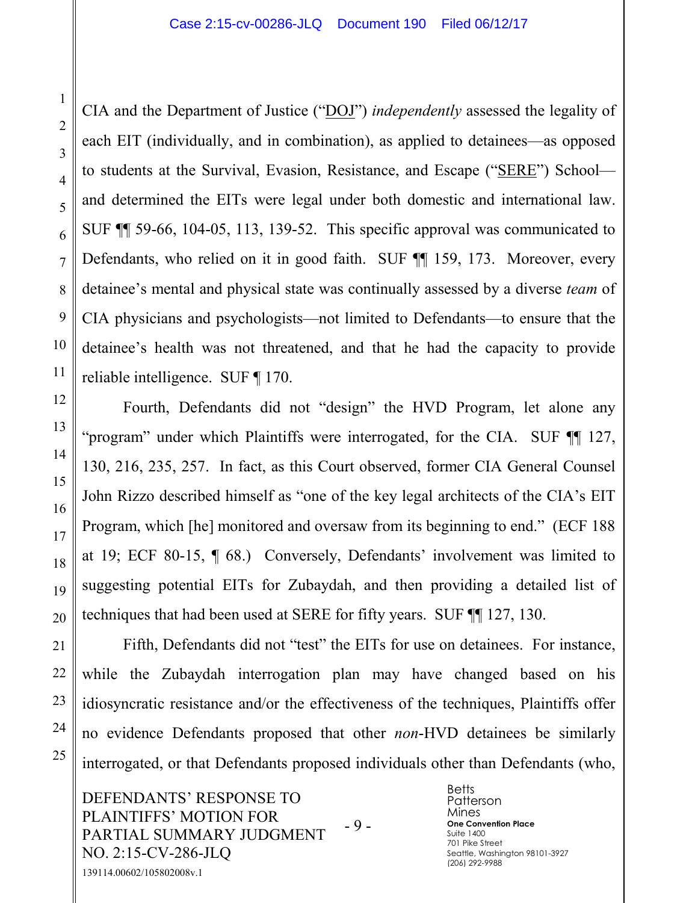CIA and the Department of Justice ("DOJ") *independently* assessed the legality of each EIT (individually, and in combination), as applied to detainees—as opposed to students at the Survival, Evasion, Resistance, and Escape ("SERE") School and determined the EITs were legal under both domestic and international law. SUF ¶¶ 59-66, 104-05, 113, 139-52. This specific approval was communicated to Defendants, who relied on it in good faith. SUF ¶¶ 159, 173. Moreover, every detainee's mental and physical state was continually assessed by a diverse *team* of CIA physicians and psychologists—not limited to Defendants—to ensure that the detainee's health was not threatened, and that he had the capacity to provide reliable intelligence. SUF ¶ 170.

Fourth, Defendants did not "design" the HVD Program, let alone any "program" under which Plaintiffs were interrogated, for the CIA. SUF ¶¶ 127, 130, 216, 235, 257. In fact, as this Court observed, former CIA General Counsel John Rizzo described himself as "one of the key legal architects of the CIA's EIT Program, which [he] monitored and oversaw from its beginning to end." (ECF 188 at 19; ECF 80-15, ¶ 68.) Conversely, Defendants' involvement was limited to suggesting potential EITs for Zubaydah, and then providing a detailed list of techniques that had been used at SERE for fifty years. SUF ¶¶ 127, 130.

Fifth, Defendants did not "test" the EITs for use on detainees. For instance, while the Zubaydah interrogation plan may have changed based on his idiosyncratic resistance and/or the effectiveness of the techniques, Plaintiffs offer no evidence Defendants proposed that other *non*-HVD detainees be similarly interrogated, or that Defendants proposed individuals other than Defendants (who,

DEFENDANTS' RESPONSE TO PLAINTIFFS' MOTION FOR PARTIAL SUMMARY JUDGMENT NO. 2:15-CV-286-JLQ - 9 - 139114.00602/105802008v.1

**Betts** Patterson Mines **One Convention Place** Suite 1400 701 Pike Street Seattle, Washington 98101-3927 (206) 292-9988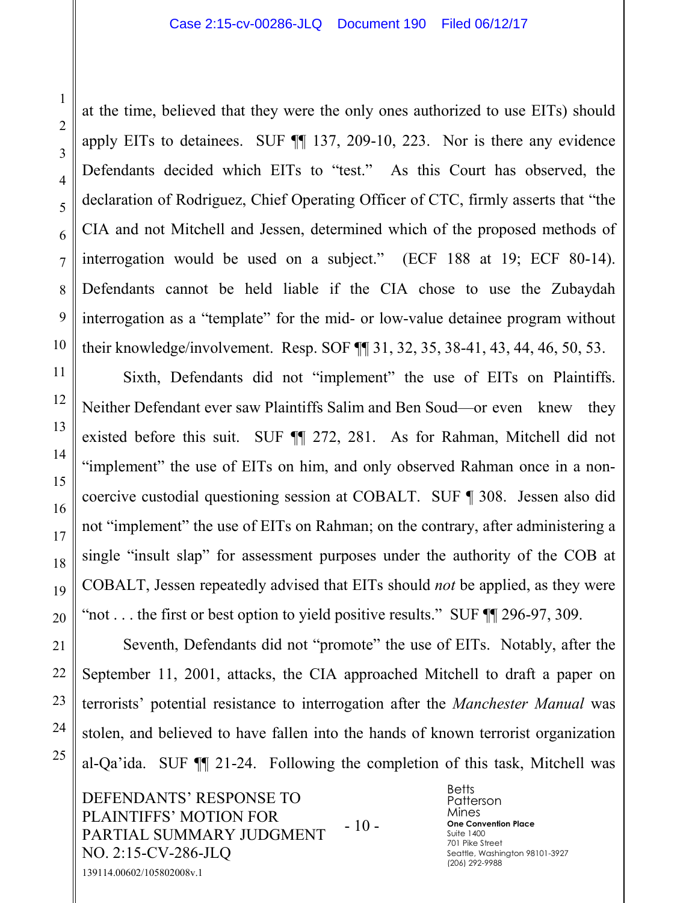at the time, believed that they were the only ones authorized to use EITs) should apply EITs to detainees. SUF ¶¶ 137, 209-10, 223. Nor is there any evidence Defendants decided which EITs to "test." As this Court has observed, the declaration of Rodriguez, Chief Operating Officer of CTC, firmly asserts that "the CIA and not Mitchell and Jessen, determined which of the proposed methods of interrogation would be used on a subject." (ECF 188 at 19; ECF 80-14). Defendants cannot be held liable if the CIA chose to use the Zubaydah interrogation as a "template" for the mid- or low-value detainee program without their knowledge/involvement. Resp. SOF ¶¶ 31, 32, 35, 38-41, 43, 44, 46, 50, 53.

Sixth, Defendants did not "implement" the use of EITs on Plaintiffs. Neither Defendant ever saw Plaintiffs Salim and Ben Soud—or even knew they existed before this suit. SUF ¶¶ 272, 281. As for Rahman, Mitchell did not "implement" the use of EITs on him, and only observed Rahman once in a noncoercive custodial questioning session at COBALT. SUF ¶ 308. Jessen also did not "implement" the use of EITs on Rahman; on the contrary, after administering a single "insult slap" for assessment purposes under the authority of the COB at COBALT, Jessen repeatedly advised that EITs should *not* be applied, as they were "not . . . the first or best option to yield positive results." SUF ¶¶ 296-97, 309.

Seventh, Defendants did not "promote" the use of EITs. Notably, after the September 11, 2001, attacks, the CIA approached Mitchell to draft a paper on terrorists' potential resistance to interrogation after the *Manchester Manual* was stolen, and believed to have fallen into the hands of known terrorist organization al-Qa'ida. SUF ¶¶ 21-24. Following the completion of this task, Mitchell was

DEFENDANTS' RESPONSE TO PLAINTIFFS' MOTION FOR PARTIAL SUMMARY JUDGMENT NO. 2:15-CV-286-JLQ - 10 - 139114.00602/105802008v.1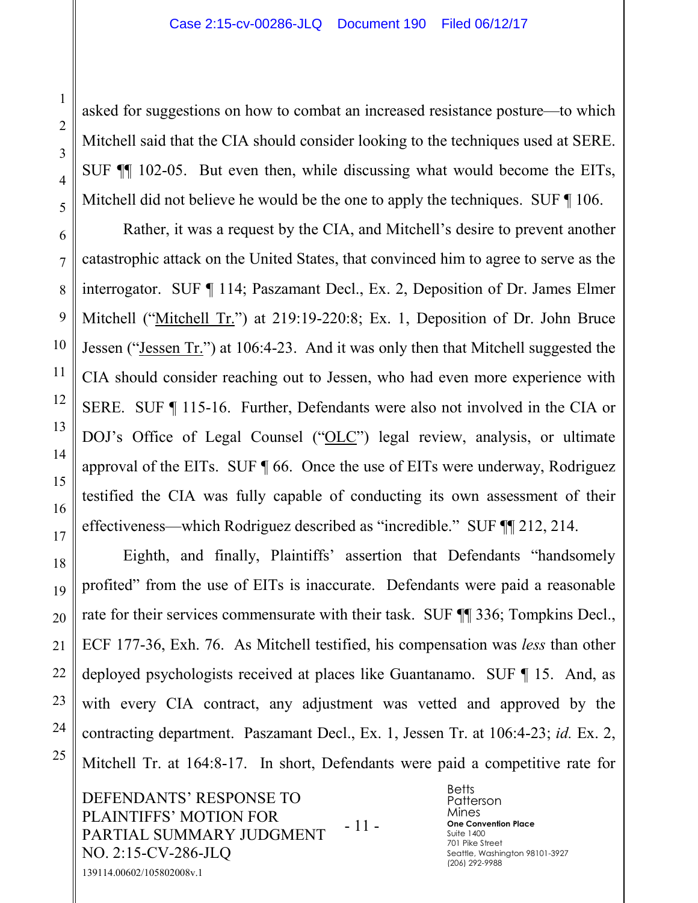asked for suggestions on how to combat an increased resistance posture—to which Mitchell said that the CIA should consider looking to the techniques used at SERE. SUF ¶¶ 102-05. But even then, while discussing what would become the EITs, Mitchell did not believe he would be the one to apply the techniques. SUF  $\P$  106.

Rather, it was a request by the CIA, and Mitchell's desire to prevent another catastrophic attack on the United States, that convinced him to agree to serve as the interrogator. SUF ¶ 114; Paszamant Decl., Ex. 2, Deposition of Dr. James Elmer Mitchell ("Mitchell Tr.") at 219:19-220:8; Ex. 1, Deposition of Dr. John Bruce Jessen ("Jessen Tr.") at 106:4-23. And it was only then that Mitchell suggested the CIA should consider reaching out to Jessen, who had even more experience with SERE. SUF ¶ 115-16. Further, Defendants were also not involved in the CIA or DOJ's Office of Legal Counsel ("OLC") legal review, analysis, or ultimate approval of the EITs. SUF ¶ 66. Once the use of EITs were underway, Rodriguez testified the CIA was fully capable of conducting its own assessment of their effectiveness—which Rodriguez described as "incredible." SUF ¶¶ 212, 214.

Eighth, and finally, Plaintiffs' assertion that Defendants "handsomely profited" from the use of EITs is inaccurate. Defendants were paid a reasonable rate for their services commensurate with their task. SUF  $\P$  336; Tompkins Decl., ECF 177-36, Exh. 76. As Mitchell testified, his compensation was *less* than other deployed psychologists received at places like Guantanamo. SUF ¶ 15. And, as with every CIA contract, any adjustment was vetted and approved by the contracting department. Paszamant Decl., Ex. 1, Jessen Tr. at 106:4-23; *id.* Ex. 2, Mitchell Tr. at 164:8-17. In short, Defendants were paid a competitive rate for

DEFENDANTS' RESPONSE TO PLAINTIFFS' MOTION FOR PARTIAL SUMMARY JUDGMENT NO. 2:15-CV-286-JLQ - 11 - 139114.00602/105802008v.1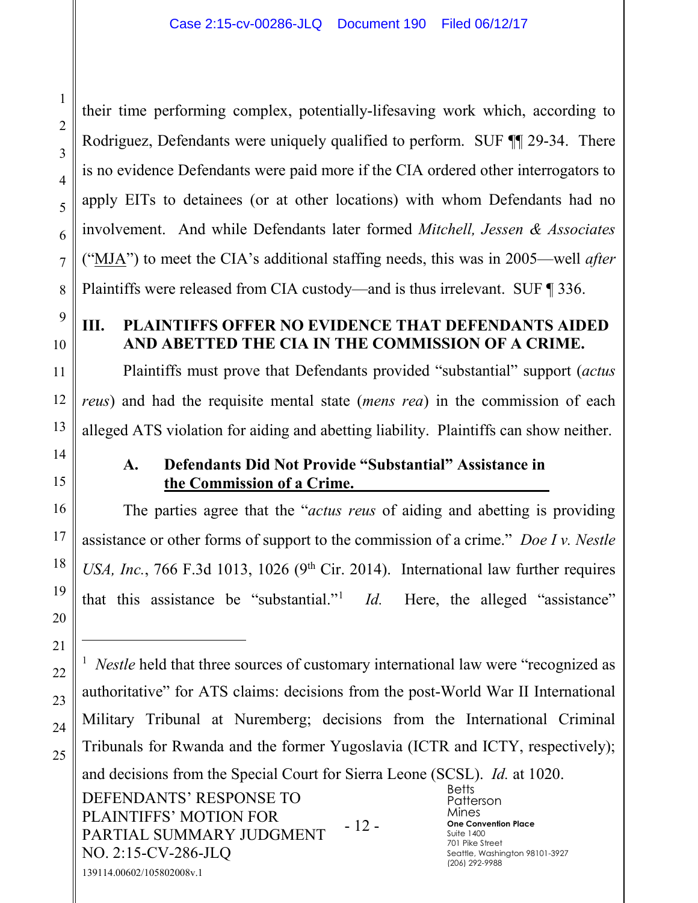their time performing complex, potentially-lifesaving work which, according to Rodriguez, Defendants were uniquely qualified to perform. SUF ¶¶ 29-34. There is no evidence Defendants were paid more if the CIA ordered other interrogators to apply EITs to detainees (or at other locations) with whom Defendants had no involvement. And while Defendants later formed *Mitchell, Jessen & Associates* ("MJA") to meet the CIA's additional staffing needs, this was in 2005—well *after* Plaintiffs were released from CIA custody—and is thus irrelevant. SUF ¶ 336.

### **III. PLAINTIFFS OFFER NO EVIDENCE THAT DEFENDANTS AIDED AND ABETTED THE CIA IN THE COMMISSION OF A CRIME.**

Plaintiffs must prove that Defendants provided "substantial" support (*actus reus*) and had the requisite mental state (*mens rea*) in the commission of each alleged ATS violation for aiding and abetting liability. Plaintiffs can show neither.

 $\overline{a}$ 

NO. 2:15-CV-286-JLQ

139114.00602/105802008v.1

#### **A. Defendants Did Not Provide "Substantial" Assistance in the Commission of a Crime.**

The parties agree that the "*actus reus* of aiding and abetting is providing assistance or other forms of support to the commission of a crime." *Doe I v. Nestle USA, Inc.*, 766 F.3d 1013, 1026 ( $9<sup>th</sup>$  Cir. 2014). International law further requires that this assistance be "substantial."1 *Id.* Here, the alleged "assistance"

DEFENDANTS' RESPONSE TO PLAINTIFFS' MOTION FOR PARTIAL SUMMARY JUDGMENT - 12 - **Betts** Patterson Mines **One Convention Place** Suite 1400 <sup>1</sup> *Nestle* held that three sources of customary international law were "recognized as authoritative" for ATS claims: decisions from the post-World War II International Military Tribunal at Nuremberg; decisions from the International Criminal Tribunals for Rwanda and the former Yugoslavia (ICTR and ICTY, respectively); and decisions from the Special Court for Sierra Leone (SCSL). *Id.* at 1020.

701 Pike Street

(206) 292-9988

Seattle, Washington 98101-3927

1

2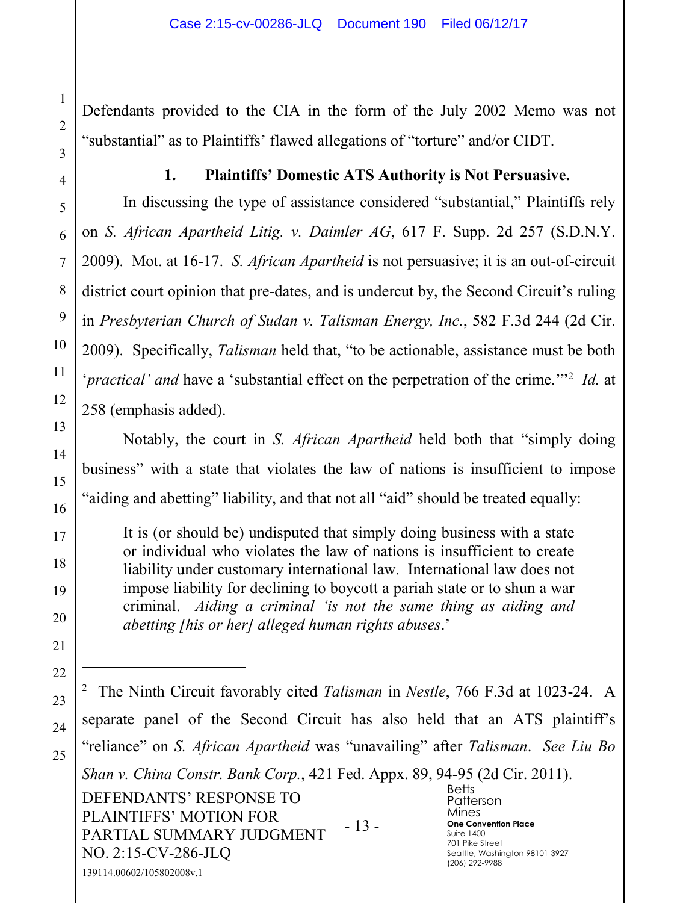Defendants provided to the CIA in the form of the July 2002 Memo was not "substantial" as to Plaintiffs' flawed allegations of "torture" and/or CIDT.

#### **1. Plaintiffs' Domestic ATS Authority is Not Persuasive.**

In discussing the type of assistance considered "substantial," Plaintiffs rely on *S. African Apartheid Litig. v. Daimler AG*, 617 F. Supp. 2d 257 (S.D.N.Y. 2009). Mot. at 16-17. *S. African Apartheid* is not persuasive; it is an out-of-circuit district court opinion that pre-dates, and is undercut by, the Second Circuit's ruling in *Presbyterian Church of Sudan v. Talisman Energy, Inc.*, 582 F.3d 244 (2d Cir. 2009). Specifically, *Talisman* held that, "to be actionable, assistance must be both '*practical' and* have a 'substantial effect on the perpetration of the crime.'"2 *Id.* at 258 (emphasis added).

Notably, the court in *S. African Apartheid* held both that "simply doing business" with a state that violates the law of nations is insufficient to impose "aiding and abetting" liability, and that not all "aid" should be treated equally:

It is (or should be) undisputed that simply doing business with a state or individual who violates the law of nations is insufficient to create liability under customary international law. International law does not impose liability for declining to boycott a pariah state or to shun a war criminal. *Aiding a criminal 'is not the same thing as aiding and abetting [his or her] alleged human rights abuses*.'

DEFENDANTS' RESPONSE TO PLAINTIFFS' MOTION FOR PARTIAL SUMMARY JUDGMENT NO. 2:15-CV-286-JLQ - 13 - **Betts** Patterson Mines **One Convention Place** Suite 1400 701 Pike Street Seattle, Washington 98101-3927 (206) 292-9988 139114.00602/105802008v.1 2 The Ninth Circuit favorably cited *Talisman* in *Nestle*, 766 F.3d at 1023-24. A separate panel of the Second Circuit has also held that an ATS plaintiff's "reliance" on *S. African Apartheid* was "unavailing" after *Talisman*. *See Liu Bo Shan v. China Constr. Bank Corp.*, 421 Fed. Appx. 89, 94-95 (2d Cir. 2011).

 $\overline{a}$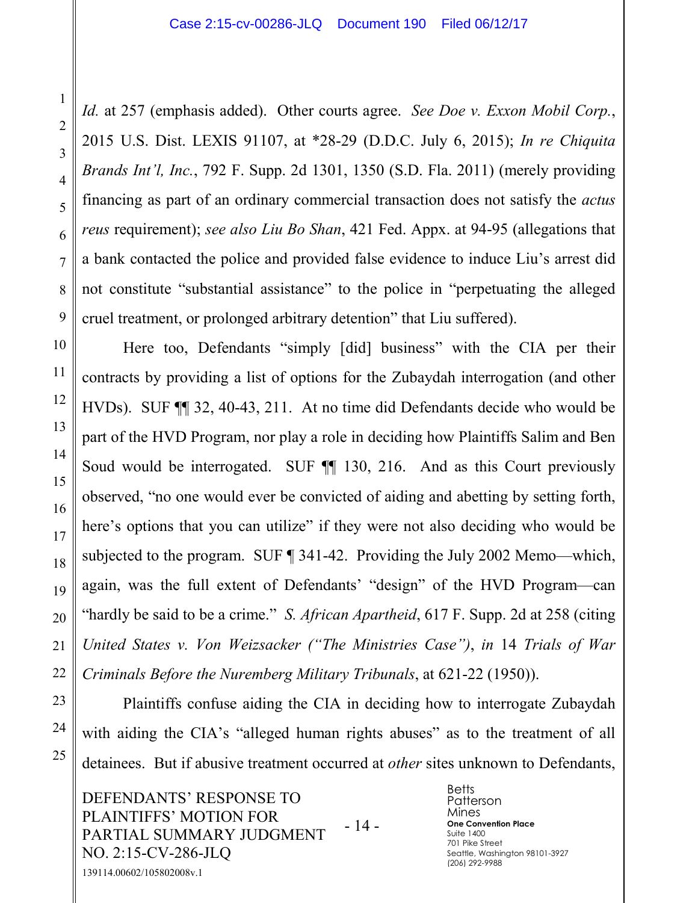*Id.* at 257 (emphasis added). Other courts agree. *See Doe v. Exxon Mobil Corp.*, 2015 U.S. Dist. LEXIS 91107, at \*28-29 (D.D.C. July 6, 2015); *In re Chiquita Brands Int'l, Inc.*, 792 F. Supp. 2d 1301, 1350 (S.D. Fla. 2011) (merely providing financing as part of an ordinary commercial transaction does not satisfy the *actus reus* requirement); *see also Liu Bo Shan*, 421 Fed. Appx. at 94-95 (allegations that a bank contacted the police and provided false evidence to induce Liu's arrest did not constitute "substantial assistance" to the police in "perpetuating the alleged cruel treatment, or prolonged arbitrary detention" that Liu suffered).

Here too, Defendants "simply [did] business" with the CIA per their contracts by providing a list of options for the Zubaydah interrogation (and other HVDs). SUF ¶¶ 32, 40-43, 211. At no time did Defendants decide who would be part of the HVD Program, nor play a role in deciding how Plaintiffs Salim and Ben Soud would be interrogated. SUF  $\P$  130, 216. And as this Court previously observed, "no one would ever be convicted of aiding and abetting by setting forth, here's options that you can utilize" if they were not also deciding who would be subjected to the program. SUF ¶ 341-42. Providing the July 2002 Memo—which, again, was the full extent of Defendants' "design" of the HVD Program—can "hardly be said to be a crime." *S. African Apartheid*, 617 F. Supp. 2d at 258 (citing *United States v. Von Weizsacker ("The Ministries Case")*, *in* 14 *Trials of War Criminals Before the Nuremberg Military Tribunals*, at 621-22 (1950)).

Plaintiffs confuse aiding the CIA in deciding how to interrogate Zubaydah with aiding the CIA's "alleged human rights abuses" as to the treatment of all detainees. But if abusive treatment occurred at *other* sites unknown to Defendants,

DEFENDANTS' RESPONSE TO PLAINTIFFS' MOTION FOR PARTIAL SUMMARY JUDGMENT NO. 2:15-CV-286-JLQ - 14 - 139114.00602/105802008v.1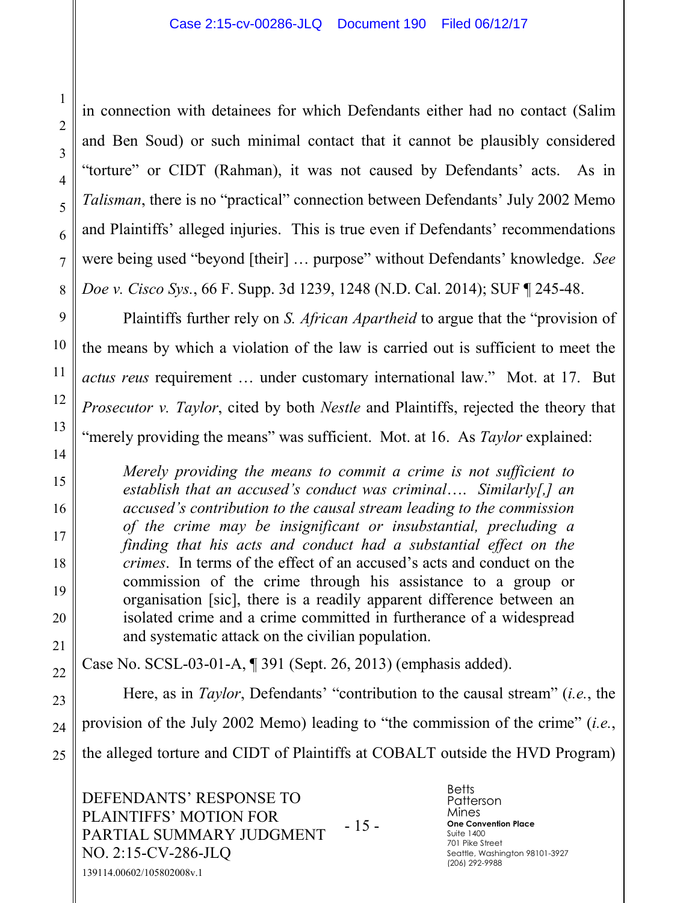in connection with detainees for which Defendants either had no contact (Salim and Ben Soud) or such minimal contact that it cannot be plausibly considered "torture" or CIDT (Rahman), it was not caused by Defendants' acts. As in *Talisman*, there is no "practical" connection between Defendants' July 2002 Memo and Plaintiffs' alleged injuries. This is true even if Defendants' recommendations were being used "beyond [their] … purpose" without Defendants' knowledge. *See Doe v. Cisco Sys.*, 66 F. Supp. 3d 1239, 1248 (N.D. Cal. 2014); SUF ¶ 245-48.

Plaintiffs further rely on *S. African Apartheid* to argue that the "provision of the means by which a violation of the law is carried out is sufficient to meet the *actus reus* requirement … under customary international law." Mot. at 17. But *Prosecutor v. Taylor*, cited by both *Nestle* and Plaintiffs, rejected the theory that "merely providing the means" was sufficient. Mot. at 16. As *Taylor* explained:

*Merely providing the means to commit a crime is not sufficient to establish that an accused's conduct was criminal*…. *Similarly[,] an accused's contribution to the causal stream leading to the commission of the crime may be insignificant or insubstantial, precluding a finding that his acts and conduct had a substantial effect on the crimes*. In terms of the effect of an accused's acts and conduct on the commission of the crime through his assistance to a group or organisation [sic], there is a readily apparent difference between an isolated crime and a crime committed in furtherance of a widespread and systematic attack on the civilian population.

Case No. SCSL-03-01-A, ¶ 391 (Sept. 26, 2013) (emphasis added).

Here, as in *Taylor*, Defendants' "contribution to the causal stream" (*i.e.*, the provision of the July 2002 Memo) leading to "the commission of the crime" (*i.e.*, the alleged torture and CIDT of Plaintiffs at COBALT outside the HVD Program)

DEFENDANTS' RESPONSE TO PLAINTIFFS' MOTION FOR PARTIAL SUMMARY JUDGMENT NO. 2:15-CV-286-JLQ - 15 - 139114.00602/105802008v.1

**Betts** Patterson Mines **One Convention Place** Suite 1400 701 Pike Street Seattle, Washington 98101-3927 (206) 292-9988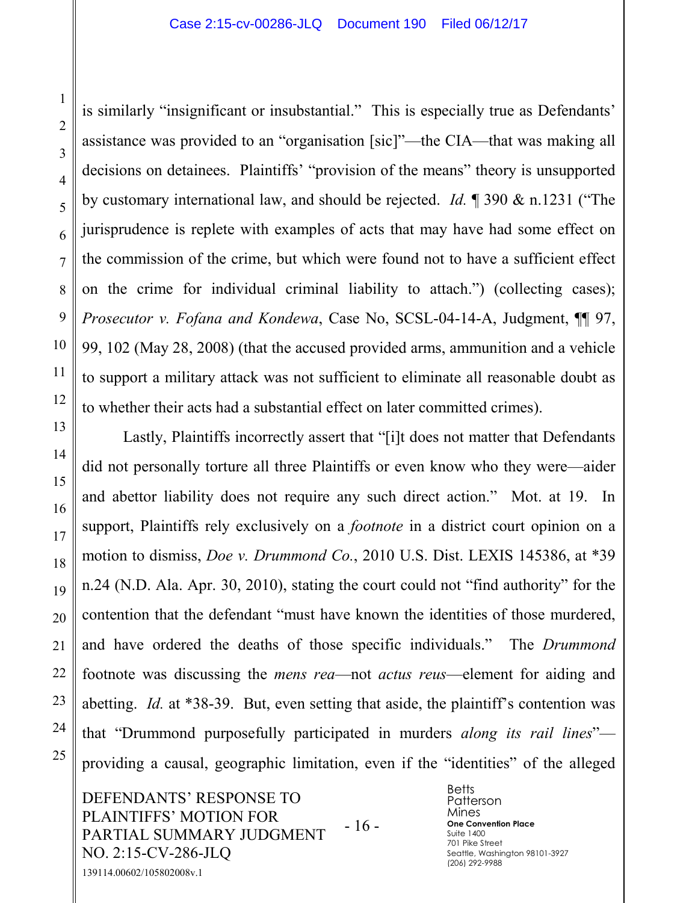is similarly "insignificant or insubstantial." This is especially true as Defendants' assistance was provided to an "organisation [sic]"—the CIA—that was making all decisions on detainees. Plaintiffs' "provision of the means" theory is unsupported by customary international law, and should be rejected. *Id.* ¶ 390 & n.1231 ("The jurisprudence is replete with examples of acts that may have had some effect on the commission of the crime, but which were found not to have a sufficient effect on the crime for individual criminal liability to attach.") (collecting cases); *Prosecutor v. Fofana and Kondewa*, Case No, SCSL-04-14-A, Judgment, ¶[ 97, 99, 102 (May 28, 2008) (that the accused provided arms, ammunition and a vehicle to support a military attack was not sufficient to eliminate all reasonable doubt as to whether their acts had a substantial effect on later committed crimes).

Lastly, Plaintiffs incorrectly assert that "[i]t does not matter that Defendants did not personally torture all three Plaintiffs or even know who they were—aider and abettor liability does not require any such direct action." Mot. at 19. In support, Plaintiffs rely exclusively on a *footnote* in a district court opinion on a motion to dismiss, *Doe v. Drummond Co.*, 2010 U.S. Dist. LEXIS 145386, at \*39 n.24 (N.D. Ala. Apr. 30, 2010), stating the court could not "find authority" for the contention that the defendant "must have known the identities of those murdered, and have ordered the deaths of those specific individuals." The *Drummond* footnote was discussing the *mens rea*—not *actus reus*—element for aiding and abetting. *Id.* at \*38-39. But, even setting that aside, the plaintiff's contention was that "Drummond purposefully participated in murders *along its rail lines*" providing a causal, geographic limitation, even if the "identities" of the alleged

DEFENDANTS' RESPONSE TO PLAINTIFFS' MOTION FOR PARTIAL SUMMARY JUDGMENT NO. 2:15-CV-286-JLQ - 16 - 139114.00602/105802008v.1

**Betts** Patterson Mines **One Convention Place** Suite 1400 701 Pike Street Seattle, Washington 98101-3927 (206) 292-9988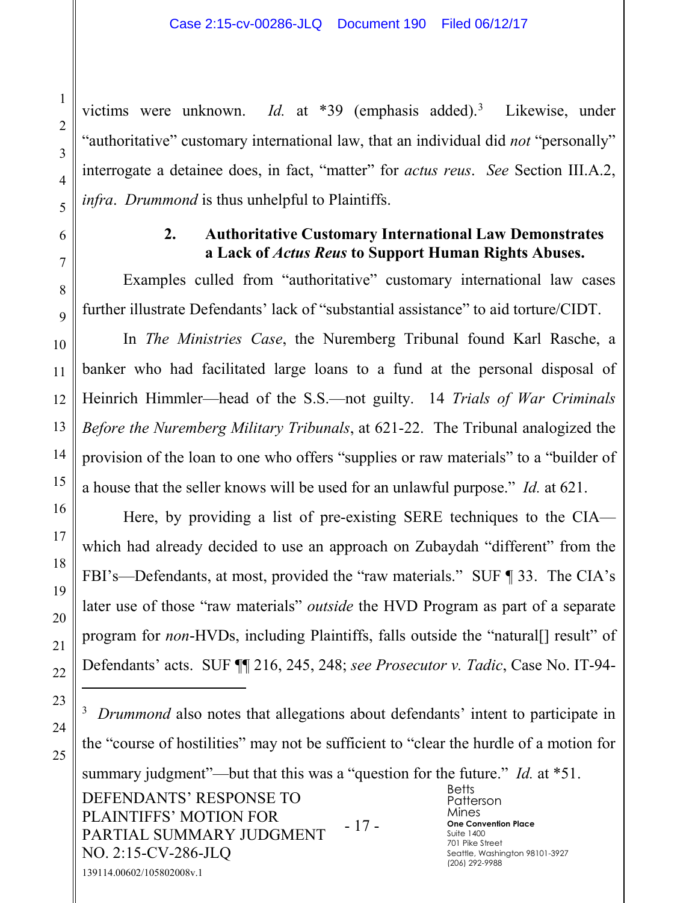victims were unknown. *Id*. at \*39 (emphasis added).<sup>3</sup> Likewise, under "authoritative" customary international law, that an individual did *not* "personally" interrogate a detainee does, in fact, "matter" for *actus reus*. *See* Section III.A.2, *infra*. *Drummond* is thus unhelpful to Plaintiffs.

#### **2. Authoritative Customary International Law Demonstrates a Lack of** *Actus Reus* **to Support Human Rights Abuses.**

Examples culled from "authoritative" customary international law cases further illustrate Defendants' lack of "substantial assistance" to aid torture/CIDT.

In *The Ministries Case*, the Nuremberg Tribunal found Karl Rasche, a banker who had facilitated large loans to a fund at the personal disposal of Heinrich Himmler—head of the S.S.—not guilty. 14 *Trials of War Criminals Before the Nuremberg Military Tribunals*, at 621-22. The Tribunal analogized the provision of the loan to one who offers "supplies or raw materials" to a "builder of a house that the seller knows will be used for an unlawful purpose." *Id.* at 621.

Here, by providing a list of pre-existing SERE techniques to the CIA which had already decided to use an approach on Zubaydah "different" from the FBI's—Defendants, at most, provided the "raw materials." SUF ¶ 33. The CIA's later use of those "raw materials" *outside* the HVD Program as part of a separate program for *non*-HVDs, including Plaintiffs, falls outside the "natural<sup>[]</sup> result" of Defendants' acts. SUF ¶¶ 216, 245, 248; *see Prosecutor v. Tadic*, Case No. IT-94-

 $\overline{a}$ 

1

2

3

4

5

6

7

8

 $\overline{Q}$ 

10

11

12

13

14

15

16

17

18

19

20

<sup>3</sup> Drummond also notes that allegations about defendants' intent to participate in the "course of hostilities" may not be sufficient to "clear the hurdle of a motion for

summary judgment"—but that this was a "question for the future." *Id.* at \*51.

DEFENDANTS' RESPONSE TO PLAINTIFFS' MOTION FOR PARTIAL SUMMARY JUDGMENT NO. 2:15-CV-286-JLQ - 17 - 139114.00602/105802008v.1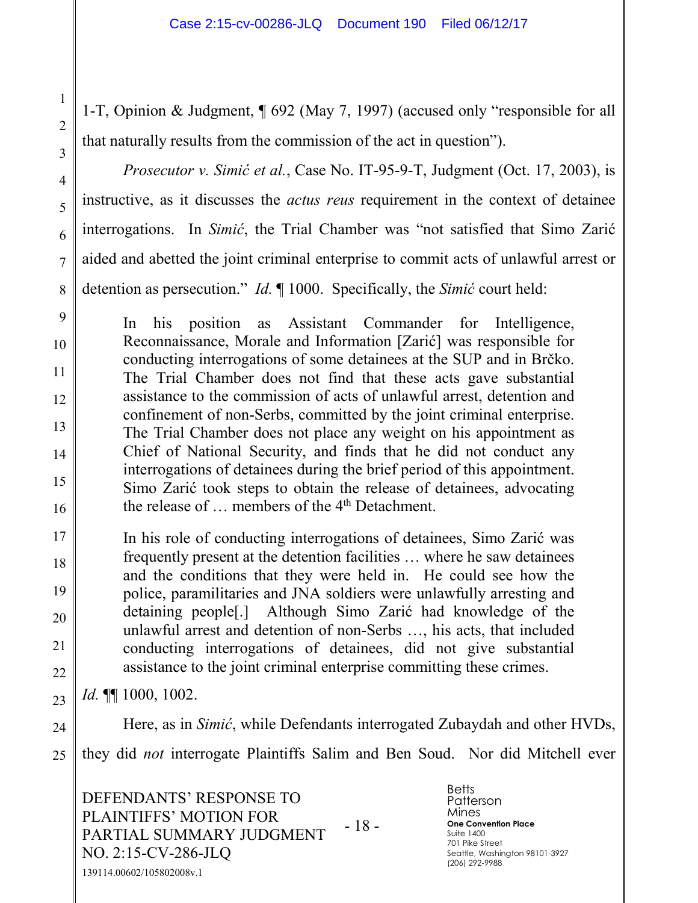1-T, Opinion & Judgment, ¶ 692 (May 7, 1997) (accused only "responsible for all that naturally results from the commission of the act in question").

*Prosecutor v. Simić et al.*, Case No. IT-95-9-T, Judgment (Oct. 17, 2003), is instructive, as it discusses the *actus reus* requirement in the context of detainee interrogations. In *Simić*, the Trial Chamber was "not satisfied that Simo Zarić aided and abetted the joint criminal enterprise to commit acts of unlawful arrest or detention as persecution." *Id.* ¶ 1000. Specifically, the *Simić* court held:

In his position as Assistant Commander for Intelligence, Reconnaissance, Morale and Information [Zarić] was responsible for conducting interrogations of some detainees at the SUP and in Brčko. The Trial Chamber does not find that these acts gave substantial assistance to the commission of acts of unlawful arrest, detention and confinement of non-Serbs, committed by the joint criminal enterprise. The Trial Chamber does not place any weight on his appointment as Chief of National Security, and finds that he did not conduct any interrogations of detainees during the brief period of this appointment. Simo Zarić took steps to obtain the release of detainees, advocating the release of ... members of the 4<sup>th</sup> Detachment.

17 18 19 20 22 In his role of conducting interrogations of detainees, Simo Zarić was frequently present at the detention facilities … where he saw detainees and the conditions that they were held in. He could see how the police, paramilitaries and JNA soldiers were unlawfully arresting and detaining people[.] Although Simo Zarić had knowledge of the unlawful arrest and detention of non-Serbs …, his acts, that included conducting interrogations of detainees, did not give substantial assistance to the joint criminal enterprise committing these crimes.

23 *Id.* ¶¶ 1000, 1002.

1

2

3

4

5

6

7

8

9

10

11

12

13

14

15

16

21

24 25 Here, as in *Simić*, while Defendants interrogated Zubaydah and other HVDs, they did *not* interrogate Plaintiffs Salim and Ben Soud. Nor did Mitchell ever

DEFENDANTS' RESPONSE TO PLAINTIFFS' MOTION FOR PARTIAL SUMMARY JUDGMENT NO. 2:15-CV-286-JLQ - 18 - 139114.00602/105802008v.1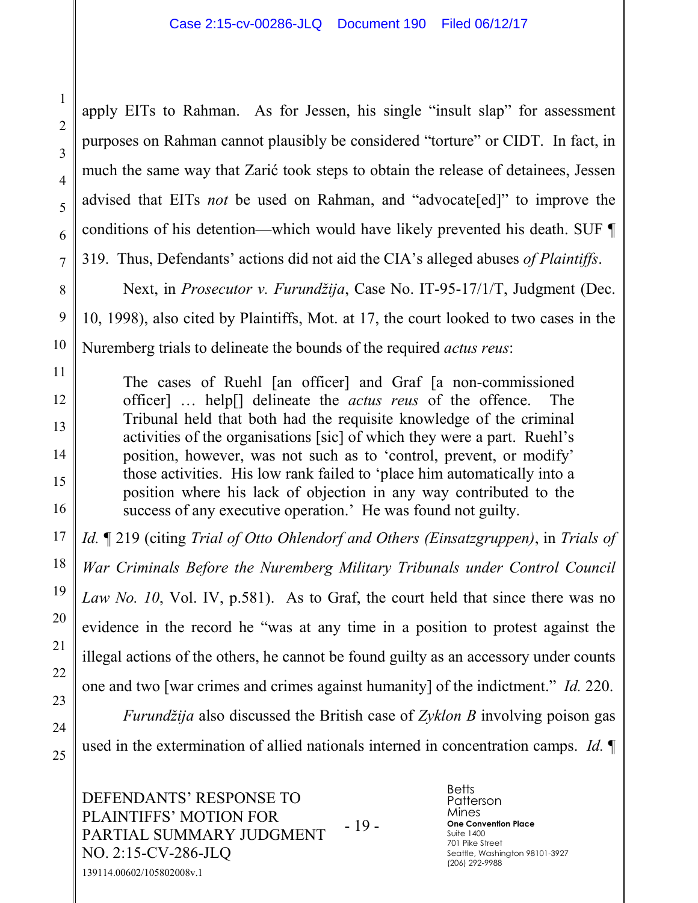apply EITs to Rahman. As for Jessen, his single "insult slap" for assessment purposes on Rahman cannot plausibly be considered "torture" or CIDT. In fact, in much the same way that Zarić took steps to obtain the release of detainees, Jessen advised that EITs *not* be used on Rahman, and "advocate[ed]" to improve the conditions of his detention—which would have likely prevented his death. SUF ¶ 319. Thus, Defendants' actions did not aid the CIA's alleged abuses *of Plaintiffs*.

Next, in *Prosecutor v. Furundžija*, Case No. IT-95-17/1/T, Judgment (Dec. 10, 1998), also cited by Plaintiffs, Mot. at 17, the court looked to two cases in the Nuremberg trials to delineate the bounds of the required *actus reus*:

The cases of Ruehl [an officer] and Graf [a non-commissioned officer] … help[] delineate the *actus reus* of the offence. The Tribunal held that both had the requisite knowledge of the criminal activities of the organisations [sic] of which they were a part. Ruehl's position, however, was not such as to 'control, prevent, or modify' those activities. His low rank failed to 'place him automatically into a position where his lack of objection in any way contributed to the success of any executive operation.' He was found not guilty.

*Id.* ¶ 219 (citing *Trial of Otto Ohlendorf and Others (Einsatzgruppen)*, in *Trials of War Criminals Before the Nuremberg Military Tribunals under Control Council Law No. 10*, Vol. IV, p.581). As to Graf, the court held that since there was no evidence in the record he "was at any time in a position to protest against the illegal actions of the others, he cannot be found guilty as an accessory under counts one and two [war crimes and crimes against humanity] of the indictment." *Id.* 220.

*Furundžija* also discussed the British case of *Zyklon B* involving poison gas used in the extermination of allied nationals interned in concentration camps. *Id.* ¶

DEFENDANTS' RESPONSE TO PLAINTIFFS' MOTION FOR PARTIAL SUMMARY JUDGMENT NO. 2:15-CV-286-JLQ - 19 - 139114.00602/105802008v.1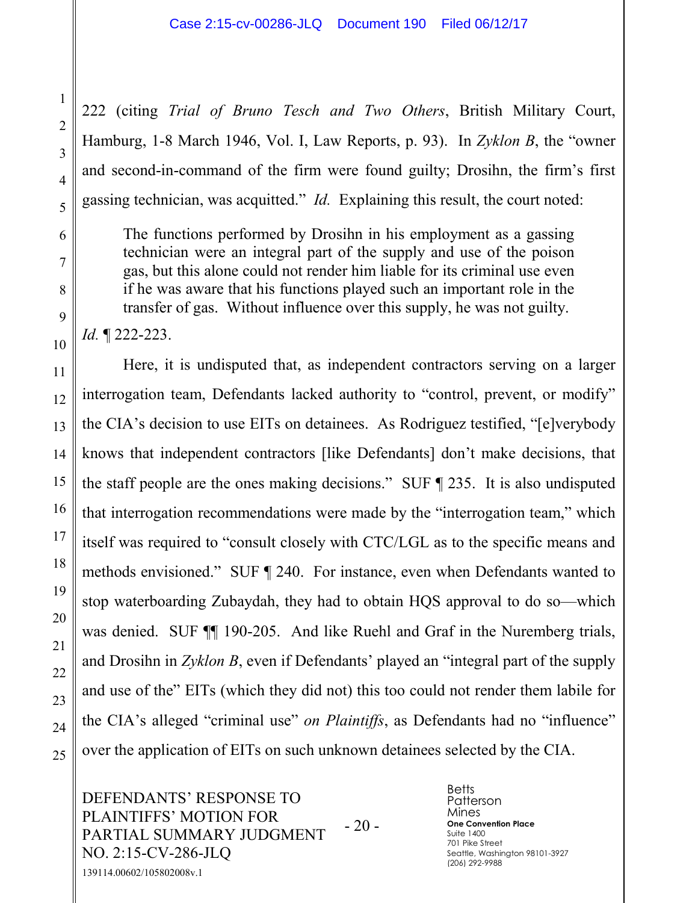222 (citing *Trial of Bruno Tesch and Two Others*, British Military Court, Hamburg, 1-8 March 1946, Vol. I, Law Reports, p. 93). In *Zyklon B*, the "owner and second-in-command of the firm were found guilty; Drosihn, the firm's first gassing technician, was acquitted." *Id.* Explaining this result, the court noted:

The functions performed by Drosihn in his employment as a gassing technician were an integral part of the supply and use of the poison gas, but this alone could not render him liable for its criminal use even if he was aware that his functions played such an important role in the transfer of gas. Without influence over this supply, he was not guilty.

*Id.* ¶ 222-223.

Here, it is undisputed that, as independent contractors serving on a larger interrogation team, Defendants lacked authority to "control, prevent, or modify" the CIA's decision to use EITs on detainees. As Rodriguez testified, "[e]verybody knows that independent contractors [like Defendants] don't make decisions, that the staff people are the ones making decisions." SUF ¶ 235. It is also undisputed that interrogation recommendations were made by the "interrogation team," which itself was required to "consult closely with CTC/LGL as to the specific means and methods envisioned." SUF ¶ 240. For instance, even when Defendants wanted to stop waterboarding Zubaydah, they had to obtain HQS approval to do so—which was denied. SUF  $\P$  190-205. And like Ruehl and Graf in the Nuremberg trials, and Drosihn in *Zyklon B*, even if Defendants' played an "integral part of the supply and use of the" EITs (which they did not) this too could not render them labile for the CIA's alleged "criminal use" *on Plaintiffs*, as Defendants had no "influence" over the application of EITs on such unknown detainees selected by the CIA.

DEFENDANTS' RESPONSE TO PLAINTIFFS' MOTION FOR PARTIAL SUMMARY JUDGMENT NO. 2:15-CV-286-JLQ - 20 - 139114.00602/105802008v.1

**Betts** Patterson Mines **One Convention Place** Suite 1400 701 Pike Street Seattle, Washington 98101-3927 (206) 292-9988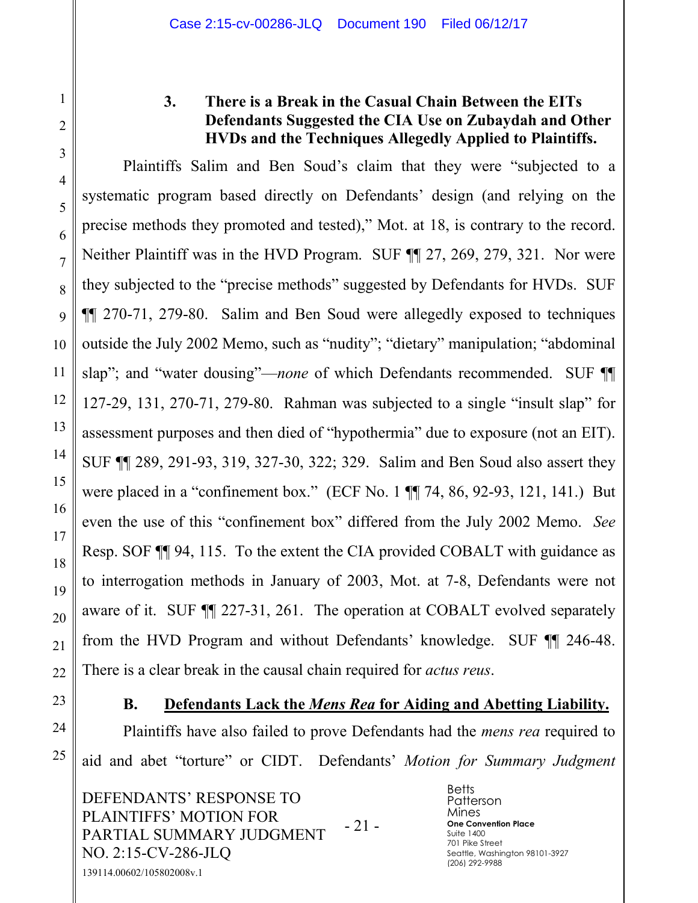1

2

3

4

5

6

7

8

9

10

11

12

13

14

15

16

17

18

19

20

21

22

#### **3. There is a Break in the Casual Chain Between the EITs Defendants Suggested the CIA Use on Zubaydah and Other HVDs and the Techniques Allegedly Applied to Plaintiffs.**

Plaintiffs Salim and Ben Soud's claim that they were "subjected to a systematic program based directly on Defendants' design (and relying on the precise methods they promoted and tested)," Mot. at 18, is contrary to the record. Neither Plaintiff was in the HVD Program. SUF  $\P$  27, 269, 279, 321. Nor were they subjected to the "precise methods" suggested by Defendants for HVDs. SUF ¶¶ 270-71, 279-80. Salim and Ben Soud were allegedly exposed to techniques outside the July 2002 Memo, such as "nudity"; "dietary" manipulation; "abdominal slap"; and "water dousing"—*none* of which Defendants recommended. SUF ¶¶ 127-29, 131, 270-71, 279-80. Rahman was subjected to a single "insult slap" for assessment purposes and then died of "hypothermia" due to exposure (not an EIT). SUF ¶¶ 289, 291-93, 319, 327-30, 322; 329. Salim and Ben Soud also assert they were placed in a "confinement box." (ECF No. 1 ¶¶ 74, 86, 92-93, 121, 141.) But even the use of this "confinement box" differed from the July 2002 Memo. *See*  Resp. SOF ¶¶ 94, 115. To the extent the CIA provided COBALT with guidance as to interrogation methods in January of 2003, Mot. at 7-8, Defendants were not aware of it. SUF ¶¶ 227-31, 261. The operation at COBALT evolved separately from the HVD Program and without Defendants' knowledge. SUF ¶¶ 246-48. There is a clear break in the causal chain required for *actus reus*.

23 24

25

#### **B. Defendants Lack the** *Mens Rea* **for Aiding and Abetting Liability.**

Plaintiffs have also failed to prove Defendants had the *mens rea* required to aid and abet "torture" or CIDT. Defendants' *Motion for Summary Judgment*

DEFENDANTS' RESPONSE TO PLAINTIFFS' MOTION FOR PARTIAL SUMMARY JUDGMENT NO. 2:15-CV-286-JLQ - 21 - 139114.00602/105802008v.1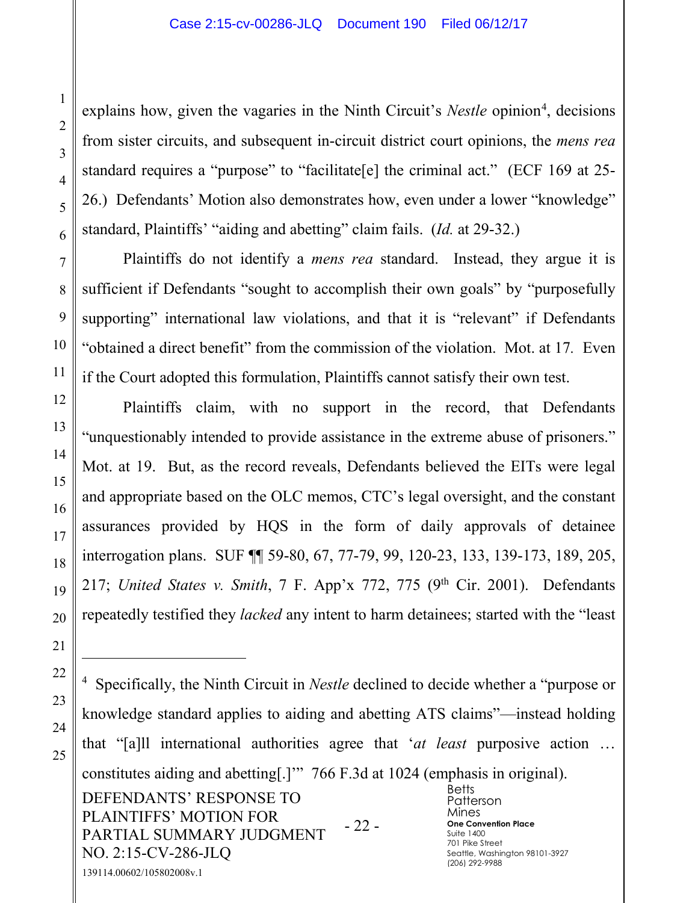explains how, given the vagaries in the Ninth Circuit's *Nestle* opinion<sup>4</sup>, decisions from sister circuits, and subsequent in-circuit district court opinions, the *mens rea* standard requires a "purpose" to "facilitate[e] the criminal act." (ECF 169 at 25- 26.) Defendants' Motion also demonstrates how, even under a lower "knowledge" standard, Plaintiffs' "aiding and abetting" claim fails. (*Id.* at 29-32.)

Plaintiffs do not identify a *mens rea* standard. Instead, they argue it is sufficient if Defendants "sought to accomplish their own goals" by "purposefully supporting" international law violations, and that it is "relevant" if Defendants "obtained a direct benefit" from the commission of the violation. Mot. at 17*.* Even if the Court adopted this formulation, Plaintiffs cannot satisfy their own test.

Plaintiffs claim, with no support in the record, that Defendants "unquestionably intended to provide assistance in the extreme abuse of prisoners." Mot. at 19. But, as the record reveals, Defendants believed the EITs were legal and appropriate based on the OLC memos, CTC's legal oversight, and the constant assurances provided by HQS in the form of daily approvals of detainee interrogation plans. SUF ¶¶ 59-80, 67, 77-79, 99, 120-23, 133, 139-173, 189, 205, 217; *United States v. Smith*, 7 F. App'x 772, 775 (9th Cir. 2001). Defendants repeatedly testified they *lacked* any intent to harm detainees; started with the "least

DEFENDANTS' RESPONSE TO PLAINTIFFS' MOTION FOR PARTIAL SUMMARY JUDGMENT NO. 2:15-CV-286-JLQ - 22 - **Betts** Patterson Mines **One Convention Place** Suite 1400 701 Pike Street Seattle, Washington 98101-3927 (206) 292-9988 139114.00602/105802008v.1 4 Specifically, the Ninth Circuit in *Nestle* declined to decide whether a "purpose or knowledge standard applies to aiding and abetting ATS claims"—instead holding that "[a]ll international authorities agree that '*at least* purposive action … constitutes aiding and abetting[.]'" 766 F.3d at 1024 (emphasis in original).

 $\overline{a}$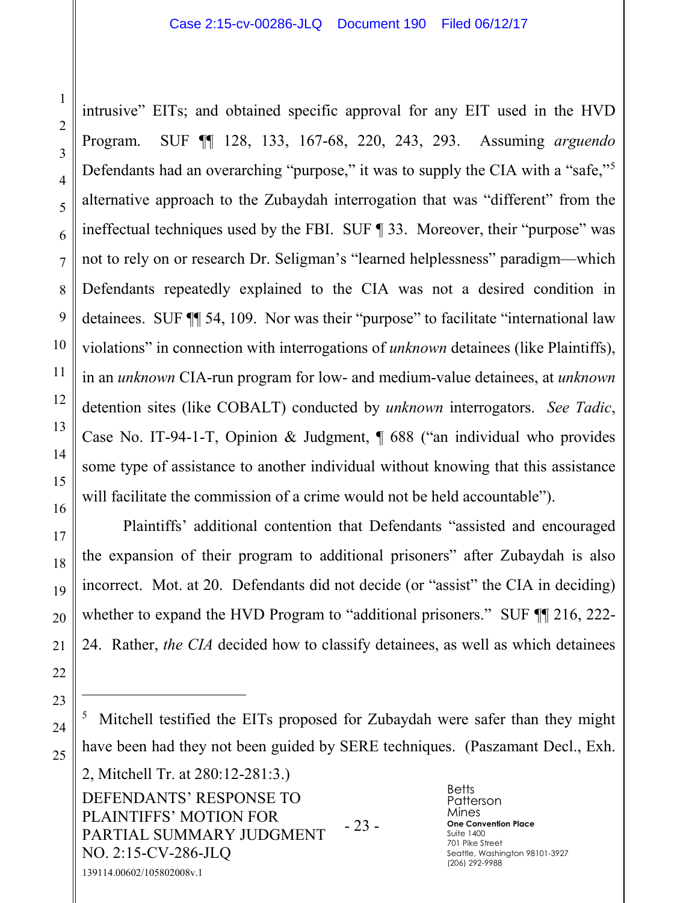intrusive" EITs; and obtained specific approval for any EIT used in the HVD Program. SUF ¶¶ 128, 133, 167-68, 220, 243, 293. Assuming *arguendo* Defendants had an overarching "purpose," it was to supply the CIA with a "safe,"<sup>5</sup> alternative approach to the Zubaydah interrogation that was "different" from the ineffectual techniques used by the FBI. SUF ¶ 33. Moreover, their "purpose" was not to rely on or research Dr. Seligman's "learned helplessness" paradigm—which Defendants repeatedly explained to the CIA was not a desired condition in detainees. SUF ¶¶ 54, 109. Nor was their "purpose" to facilitate "international law violations" in connection with interrogations of *unknown* detainees (like Plaintiffs), in an *unknown* CIA-run program for low- and medium-value detainees, at *unknown* detention sites (like COBALT) conducted by *unknown* interrogators. *See Tadic*, Case No. IT-94-1-T, Opinion & Judgment, ¶ 688 ("an individual who provides some type of assistance to another individual without knowing that this assistance will facilitate the commission of a crime would not be held accountable").

Plaintiffs' additional contention that Defendants "assisted and encouraged the expansion of their program to additional prisoners" after Zubaydah is also incorrect. Mot. at 20. Defendants did not decide (or "assist" the CIA in deciding) whether to expand the HVD Program to "additional prisoners." SUF  $\P$  216, 222-24. Rather, *the CIA* decided how to classify detainees, as well as which detainees

DEFENDANTS' RESPONSE TO PLAINTIFFS' MOTION FOR PARTIAL SUMMARY JUDGMENT NO. 2:15-CV-286-JLQ - 23 - 139114.00602/105802008v.1 2, Mitchell Tr. at 280:12-281:3.)

 $\overline{a}$ 

<sup>5</sup> Mitchell testified the EITs proposed for Zubaydah were safer than they might have been had they not been guided by SERE techniques. (Paszamant Decl., Exh.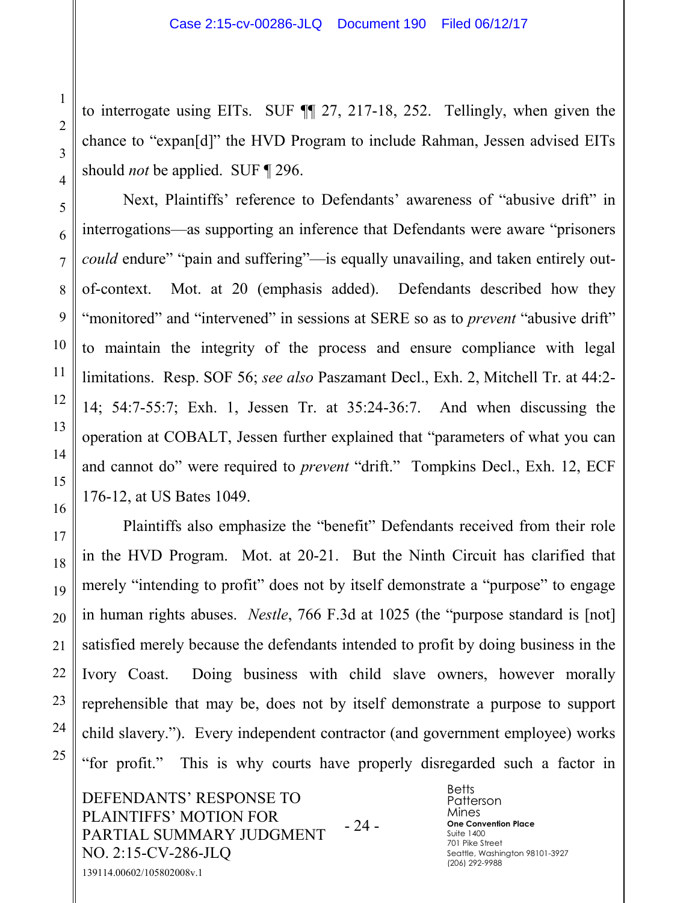to interrogate using EITs. SUF ¶¶ 27, 217-18, 252. Tellingly, when given the chance to "expan[d]" the HVD Program to include Rahman, Jessen advised EITs should *not* be applied. SUF ¶ 296.

Next, Plaintiffs' reference to Defendants' awareness of "abusive drift" in interrogations—as supporting an inference that Defendants were aware "prisoners *could* endure" "pain and suffering"—is equally unavailing, and taken entirely outof-context. Mot. at 20 (emphasis added). Defendants described how they "monitored" and "intervened" in sessions at SERE so as to *prevent* "abusive drift" to maintain the integrity of the process and ensure compliance with legal limitations. Resp. SOF 56; *see also* Paszamant Decl., Exh. 2, Mitchell Tr. at 44:2- 14; 54:7-55:7; Exh. 1, Jessen Tr. at 35:24-36:7. And when discussing the operation at COBALT, Jessen further explained that "parameters of what you can and cannot do" were required to *prevent* "drift." Tompkins Decl., Exh. 12, ECF 176-12, at US Bates 1049.

Plaintiffs also emphasize the "benefit" Defendants received from their role in the HVD Program. Mot. at 20-21. But the Ninth Circuit has clarified that merely "intending to profit" does not by itself demonstrate a "purpose" to engage in human rights abuses. *Nestle*, 766 F.3d at 1025 (the "purpose standard is [not] satisfied merely because the defendants intended to profit by doing business in the Ivory Coast. Doing business with child slave owners, however morally reprehensible that may be, does not by itself demonstrate a purpose to support child slavery."). Every independent contractor (and government employee) works "for profit." This is why courts have properly disregarded such a factor in

DEFENDANTS' RESPONSE TO PLAINTIFFS' MOTION FOR PARTIAL SUMMARY JUDGMENT NO. 2:15-CV-286-JLQ - 24 - 139114.00602/105802008v.1

**Betts** Patterson Mines **One Convention Place** Suite 1400 701 Pike Street Seattle, Washington 98101-3927 (206) 292-9988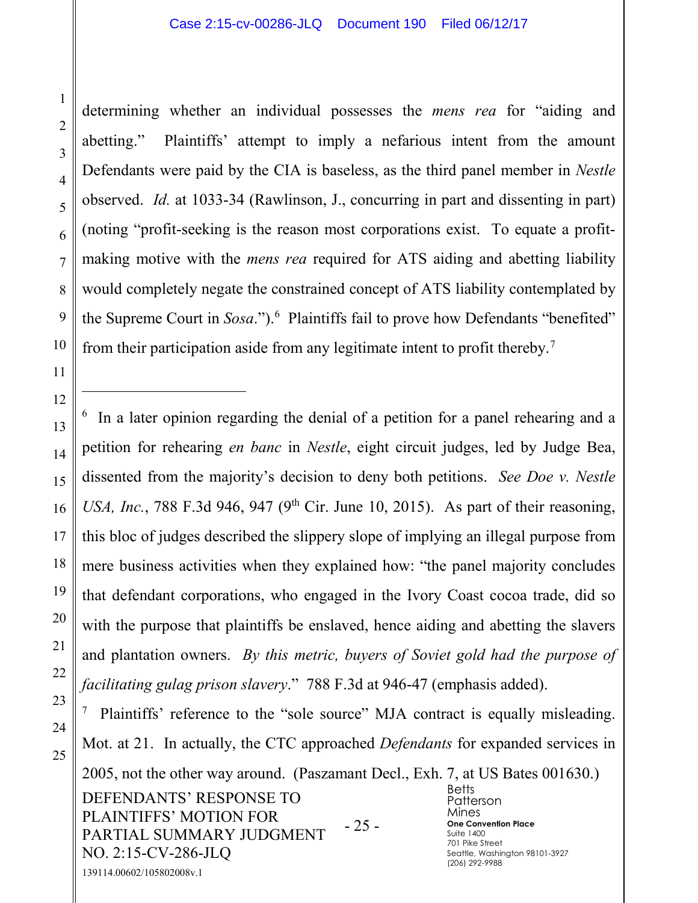1

2

3

4

5

6

7

8

9

10

11

12

 $\overline{a}$ 

13

14

15

16

17

18

19

20

21

22

23

24

25

determining whether an individual possesses the *mens rea* for "aiding and abetting." Plaintiffs' attempt to imply a nefarious intent from the amount Defendants were paid by the CIA is baseless, as the third panel member in *Nestle* observed. *Id.* at 1033-34 (Rawlinson, J., concurring in part and dissenting in part) (noting "profit-seeking is the reason most corporations exist. To equate a profitmaking motive with the *mens rea* required for ATS aiding and abetting liability would completely negate the constrained concept of ATS liability contemplated by the Supreme Court in *Sosa*.").<sup>6</sup> Plaintiffs fail to prove how Defendants "benefited" from their participation aside from any legitimate intent to profit thereby.7

<sup>6</sup> In a later opinion regarding the denial of a petition for a panel rehearing and a petition for rehearing *en banc* in *Nestle*, eight circuit judges, led by Judge Bea, dissented from the majority's decision to deny both petitions. *See Doe v. Nestle USA, Inc.*, 788 F.3d 946, 947 (9<sup>th</sup> Cir. June 10, 2015). As part of their reasoning, this bloc of judges described the slippery slope of implying an illegal purpose from mere business activities when they explained how: "the panel majority concludes that defendant corporations, who engaged in the Ivory Coast cocoa trade, did so with the purpose that plaintiffs be enslaved, hence aiding and abetting the slavers and plantation owners. *By this metric, buyers of Soviet gold had the purpose of facilitating gulag prison slavery*." 788 F.3d at 946-47 (emphasis added).

DEFENDANTS' RESPONSE TO PLAINTIFFS' MOTION FOR PARTIAL SUMMARY JUDGMENT NO. 2:15-CV-286-JLQ - 25 - **Betts** Patterson Mines **One Convention Place** Suite 1400 701 Pike Street Seattle, Washington 98101-3927 (206) 292-9988 139114.00602/105802008v.1 7 Plaintiffs' reference to the "sole source" MJA contract is equally misleading. Mot. at 21. In actually, the CTC approached *Defendants* for expanded services in 2005, not the other way around. (Paszamant Decl., Exh. 7, at US Bates 001630.)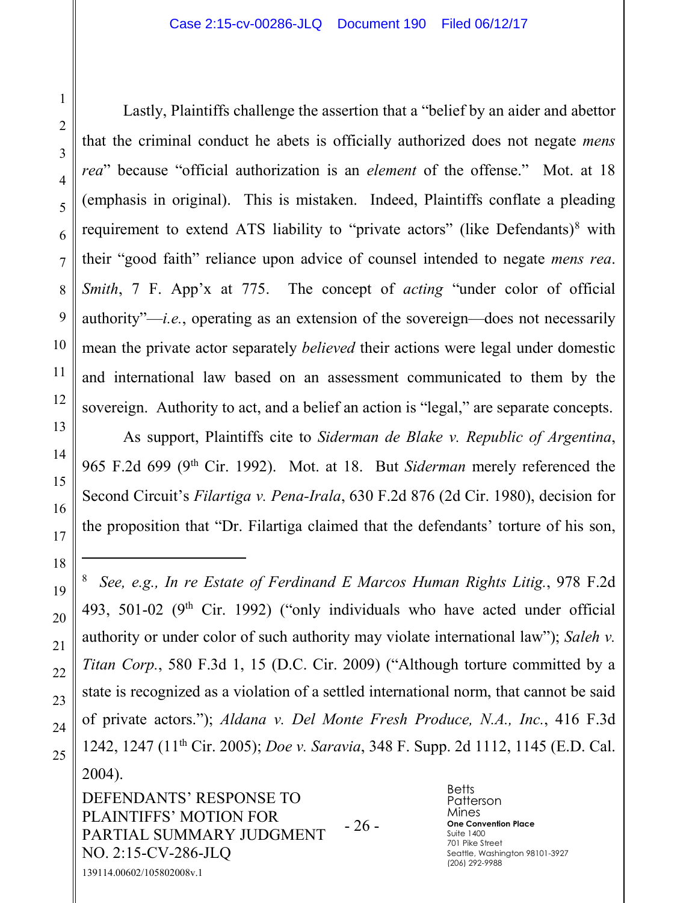Lastly, Plaintiffs challenge the assertion that a "belief by an aider and abettor that the criminal conduct he abets is officially authorized does not negate *mens rea*" because "official authorization is an *element* of the offense." Mot. at 18 (emphasis in original). This is mistaken. Indeed, Plaintiffs conflate a pleading requirement to extend ATS liability to "private actors" (like Defendants) $8$  with their "good faith" reliance upon advice of counsel intended to negate *mens rea*. *Smith*, 7 F. App'x at 775. The concept of *acting* "under color of official authority"—*i.e.*, operating as an extension of the sovereign—does not necessarily mean the private actor separately *believed* their actions were legal under domestic and international law based on an assessment communicated to them by the sovereign. Authority to act, and a belief an action is "legal," are separate concepts.

As support, Plaintiffs cite to *Siderman de Blake v. Republic of Argentina*, 965 F.2d 699 (9th Cir. 1992). Mot. at 18. But *Siderman* merely referenced the Second Circuit's *Filartiga v. Pena-Irala*, 630 F.2d 876 (2d Cir. 1980), decision for the proposition that "Dr. Filartiga claimed that the defendants' torture of his son,

8 *See, e.g., In re Estate of Ferdinand E Marcos Human Rights Litig.*, 978 F.2d 493, 501-02 ( $9<sup>th</sup>$  Cir. 1992) ("only individuals who have acted under official authority or under color of such authority may violate international law"); *Saleh v. Titan Corp.*, 580 F.3d 1, 15 (D.C. Cir. 2009) ("Although torture committed by a state is recognized as a violation of a settled international norm, that cannot be said of private actors."); *Aldana v. Del Monte Fresh Produce, N.A., Inc.*, 416 F.3d 1242, 1247 (11th Cir. 2005); *Doe v. Saravia*, 348 F. Supp. 2d 1112, 1145 (E.D. Cal. 2004).

DEFENDANTS' RESPONSE TO PLAINTIFFS' MOTION FOR PARTIAL SUMMARY JUDGMENT NO. 2:15-CV-286-JLQ - 26 - 139114.00602/105802008v.1

**Betts** Patterson Mines **One Convention Place** Suite 1400 701 Pike Street Seattle, Washington 98101-3927 (206) 292-9988

 $\overline{a}$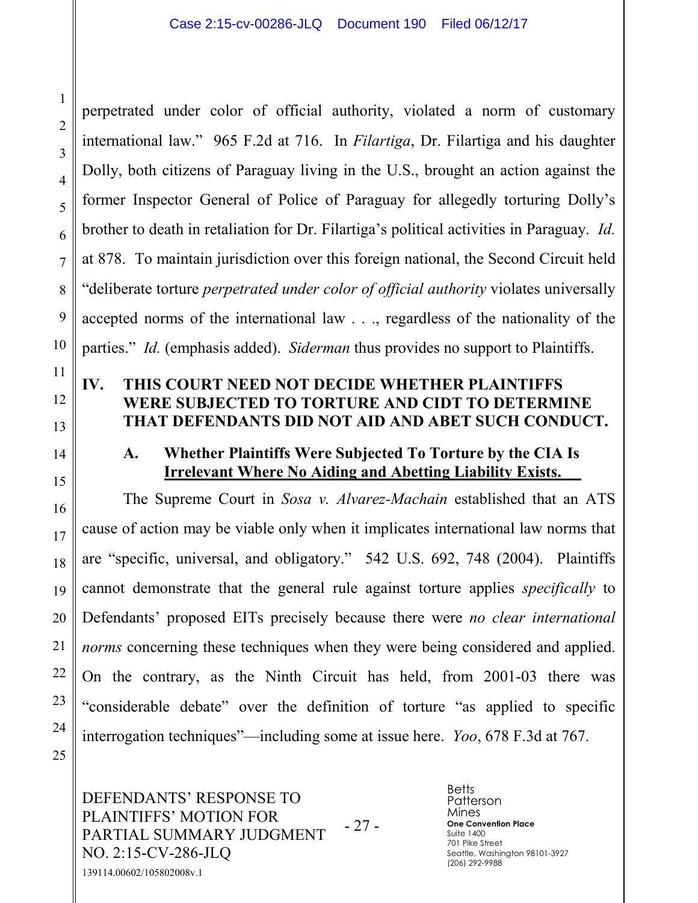perpetrated under color of official authority, violated a norm of customary international law." 965 F.2d at 716. In *Filartiga*, Dr. Filartiga and his daughter Dolly, both citizens of Paraguay living in the U.S., brought an action against the former Inspector General of Police of Paraguay for allegedly torturing Dolly's brother to death in retaliation for Dr. Filartiga's political activities in Paraguay. *Id.* at 878. To maintain jurisdiction over this foreign national, the Second Circuit held "deliberate torture *perpetrated under color of official authority* violates universally accepted norms of the international law . . ., regardless of the nationality of the parties." *Id.* (emphasis added). *Siderman* thus provides no support to Plaintiffs.

# **IV. THIS COURT NEED NOT DECIDE WHETHER PLAINTIFFS WERE SUBJECTED TO TORTURE AND CIDT TO DETERMINE THAT DEFENDANTS DID NOT AID AND ABET SUCH CONDUCT.**

#### **A. Whether Plaintiffs Were Subjected To Torture by the CIA Is Irrelevant Where No Aiding and Abetting Liability Exists.**

The Supreme Court in *Sosa v. Alvarez-Machain* established that an ATS cause of action may be viable only when it implicates international law norms that are "specific, universal, and obligatory." 542 U.S. 692, 748 (2004). Plaintiffs cannot demonstrate that the general rule against torture applies *specifically* to Defendants' proposed EITs precisely because there were *no clear international norms* concerning these techniques when they were being considered and applied. On the contrary, as the Ninth Circuit has held, from 2001-03 there was "considerable debate" over the definition of torture "as applied to specific interrogation techniques"—including some at issue here. *Yoo*, 678 F.3d at 767.

DEFENDANTS' RESPONSE TO PLAINTIFFS' MOTION FOR PARTIAL SUMMARY JUDGMENT NO. 2:15-CV-286-JLQ - 27 - 139114.00602/105802008v.1

**Betts** Patterson Mines **One Convention Place** Suite 1400 701 Pike Street Seattle, Washington 98101-3927 (206) 292-9988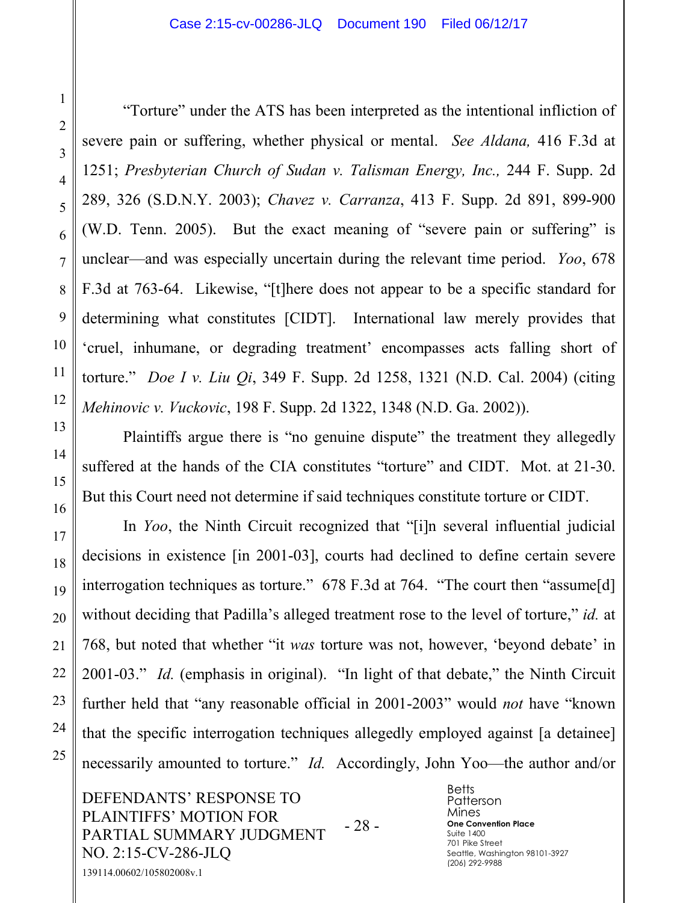"Torture" under the ATS has been interpreted as the intentional infliction of severe pain or suffering, whether physical or mental. *See Aldana,* 416 F.3d at 1251; *Presbyterian Church of Sudan v. Talisman Energy, Inc.,* 244 F. Supp. 2d 289, 326 (S.D.N.Y. 2003); *Chavez v. Carranza*, 413 F. Supp. 2d 891, 899-900 (W.D. Tenn. 2005). But the exact meaning of "severe pain or suffering" is unclear—and was especially uncertain during the relevant time period. *Yoo*, 678 F.3d at 763-64. Likewise, "[t]here does not appear to be a specific standard for determining what constitutes [CIDT]. International law merely provides that 'cruel, inhumane, or degrading treatment' encompasses acts falling short of torture." *Doe I v. Liu Qi*, 349 F. Supp. 2d 1258, 1321 (N.D. Cal. 2004) (citing *Mehinovic v. Vuckovic*, 198 F. Supp. 2d 1322, 1348 (N.D. Ga. 2002)).

Plaintiffs argue there is "no genuine dispute" the treatment they allegedly suffered at the hands of the CIA constitutes "torture" and CIDT. Mot. at 21-30. But this Court need not determine if said techniques constitute torture or CIDT.

In *Yoo*, the Ninth Circuit recognized that "[i]n several influential judicial decisions in existence [in 2001-03], courts had declined to define certain severe interrogation techniques as torture." 678 F.3d at 764. "The court then "assume[d] without deciding that Padilla's alleged treatment rose to the level of torture," *id.* at 768, but noted that whether "it *was* torture was not, however, 'beyond debate' in 2001-03." *Id.* (emphasis in original). "In light of that debate," the Ninth Circuit further held that "any reasonable official in 2001-2003" would *not* have "known that the specific interrogation techniques allegedly employed against [a detainee] necessarily amounted to torture." *Id.* Accordingly, John Yoo—the author and/or

DEFENDANTS' RESPONSE TO PLAINTIFFS' MOTION FOR PARTIAL SUMMARY JUDGMENT NO. 2:15-CV-286-JLQ - 28 - 139114.00602/105802008v.1

**Betts** Patterson Mines **One Convention Place** Suite 1400 701 Pike Street Seattle, Washington 98101-3927 (206) 292-9988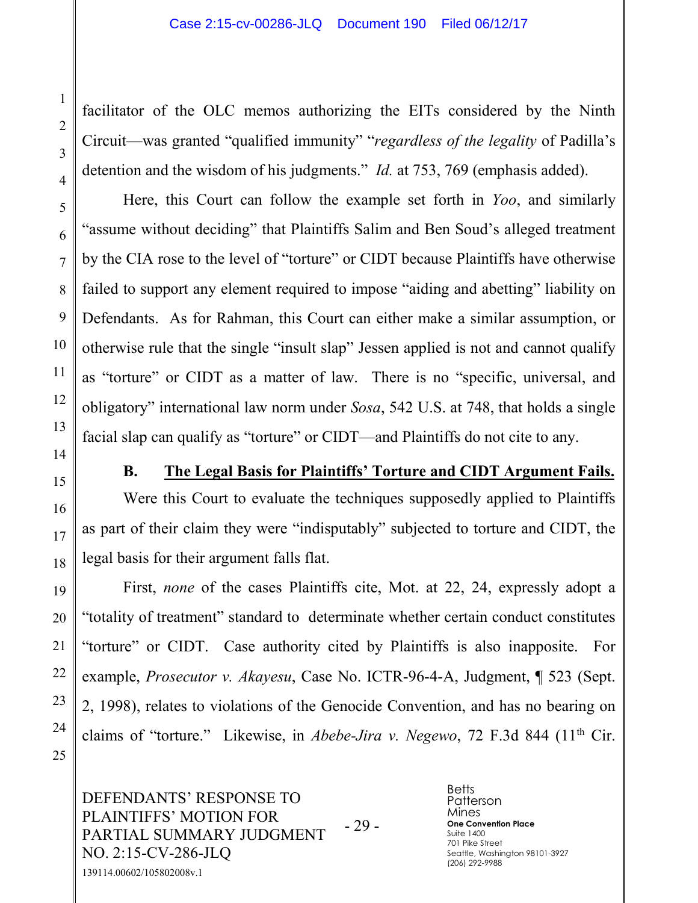facilitator of the OLC memos authorizing the EITs considered by the Ninth Circuit—was granted "qualified immunity" "*regardless of the legality* of Padilla's detention and the wisdom of his judgments." *Id.* at 753, 769 (emphasis added).

Here, this Court can follow the example set forth in *Yoo*, and similarly "assume without deciding" that Plaintiffs Salim and Ben Soud's alleged treatment by the CIA rose to the level of "torture" or CIDT because Plaintiffs have otherwise failed to support any element required to impose "aiding and abetting" liability on Defendants. As for Rahman, this Court can either make a similar assumption, or otherwise rule that the single "insult slap" Jessen applied is not and cannot qualify as "torture" or CIDT as a matter of law. There is no "specific, universal, and obligatory" international law norm under *Sosa*, 542 U.S. at 748, that holds a single facial slap can qualify as "torture" or CIDT—and Plaintiffs do not cite to any.

#### **B. The Legal Basis for Plaintiffs' Torture and CIDT Argument Fails.**

Were this Court to evaluate the techniques supposedly applied to Plaintiffs as part of their claim they were "indisputably" subjected to torture and CIDT, the legal basis for their argument falls flat.

First, *none* of the cases Plaintiffs cite, Mot. at 22, 24, expressly adopt a "totality of treatment" standard to determinate whether certain conduct constitutes "torture" or CIDT. Case authority cited by Plaintiffs is also inapposite. For example, *Prosecutor v. Akayesu*, Case No. ICTR-96-4-A, Judgment, ¶ 523 (Sept. 2, 1998), relates to violations of the Genocide Convention, and has no bearing on claims of "torture." Likewise, in *Abebe-Jira v. Negewo*, 72 F.3d 844 (11th Cir.

DEFENDANTS' RESPONSE TO PLAINTIFFS' MOTION FOR PARTIAL SUMMARY JUDGMENT NO. 2:15-CV-286-JLQ - 29 - 139114.00602/105802008v.1

**Betts** Patterson Mines **One Convention Place** Suite 1400 701 Pike Street Seattle, Washington 98101-3927 (206) 292-9988

1

2

3

4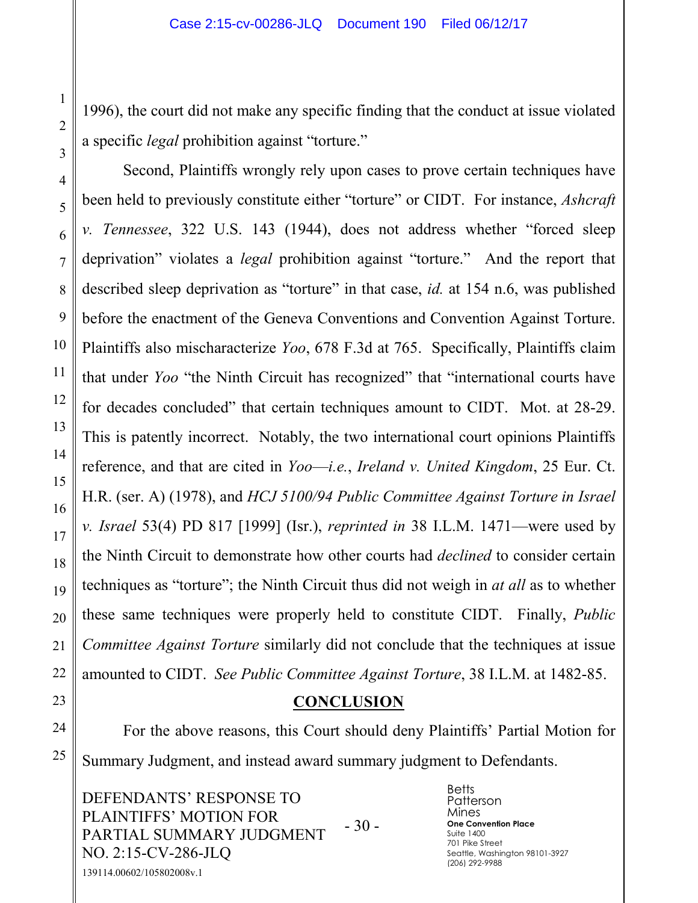1996), the court did not make any specific finding that the conduct at issue violated a specific *legal* prohibition against "torture."

Second, Plaintiffs wrongly rely upon cases to prove certain techniques have been held to previously constitute either "torture" or CIDT. For instance, *Ashcraft v. Tennessee*, 322 U.S. 143 (1944), does not address whether "forced sleep deprivation" violates a *legal* prohibition against "torture." And the report that described sleep deprivation as "torture" in that case, *id.* at 154 n.6, was published before the enactment of the Geneva Conventions and Convention Against Torture. Plaintiffs also mischaracterize *Yoo*, 678 F.3d at 765. Specifically, Plaintiffs claim that under *Yoo* "the Ninth Circuit has recognized" that "international courts have for decades concluded" that certain techniques amount to CIDT. Mot. at 28-29. This is patently incorrect. Notably, the two international court opinions Plaintiffs reference, and that are cited in *Yoo*—*i.e.*, *Ireland v. United Kingdom*, 25 Eur. Ct. H.R. (ser. A) (1978), and *HCJ 5100/94 Public Committee Against Torture in Israel v. Israel* 53(4) PD 817 [1999] (Isr.), *reprinted in* 38 I.L.M. 1471—were used by the Ninth Circuit to demonstrate how other courts had *declined* to consider certain techniques as "torture"; the Ninth Circuit thus did not weigh in *at all* as to whether these same techniques were properly held to constitute CIDT. Finally, *Public Committee Against Torture* similarly did not conclude that the techniques at issue amounted to CIDT. *See Public Committee Against Torture*, 38 I.L.M. at 1482-85.

# **CONCLUSION**

For the above reasons, this Court should deny Plaintiffs' Partial Motion for Summary Judgment, and instead award summary judgment to Defendants.

DEFENDANTS' RESPONSE TO PLAINTIFFS' MOTION FOR PARTIAL SUMMARY JUDGMENT NO. 2:15-CV-286-JLQ - 30 - 139114.00602/105802008v.1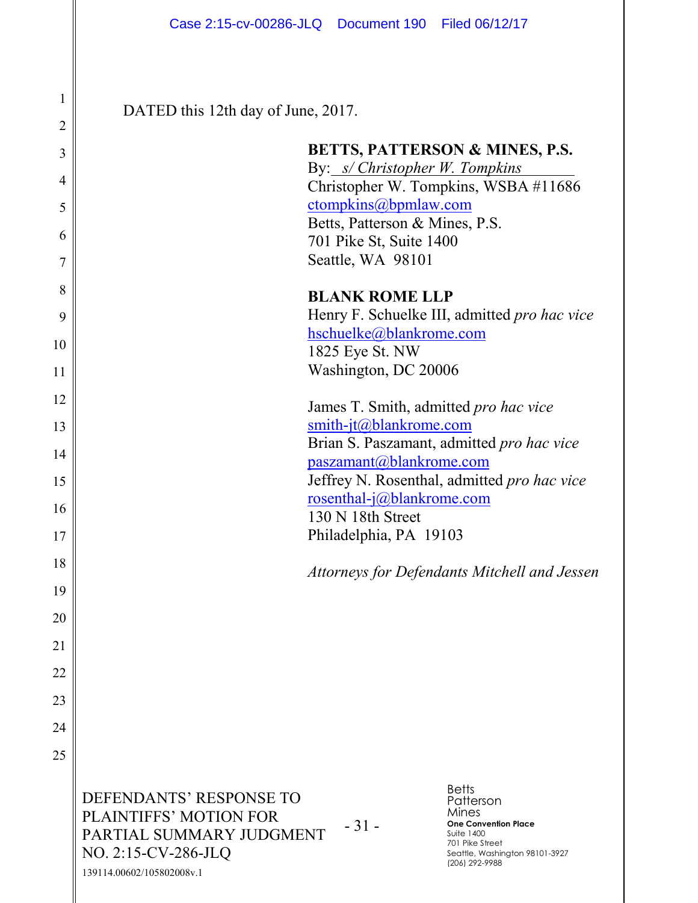DATED this 12th day of June, 2017.

1

2

 $\mathsf{I}$ 

3

4

5

6

7

8

9

10

11

12

13

14

15

16

17

18

19

20

21

22

23

24

25

|                                                                              | By: s/ Christopher W. Tompkins<br>ctompkins@bpmlaw.com<br>Betts, Patterson & Mines, P.S.<br>701 Pike St, Suite 1400<br>Seattle, WA 98101                               | <b>BETTS, PATTERSON &amp; MINES, P.S.</b><br>Christopher W. Tompkins, WSBA #11686        |
|------------------------------------------------------------------------------|------------------------------------------------------------------------------------------------------------------------------------------------------------------------|------------------------------------------------------------------------------------------|
|                                                                              | <b>BLANK ROME LLP</b><br>hschuelke@blankrome.com<br>1825 Eye St. NW<br>Washington, DC 20006                                                                            | Henry F. Schuelke III, admitted pro hac vice                                             |
|                                                                              | James T. Smith, admitted pro hac vice<br>smith-jt@blankrome.com<br>paszamant@blankrome.com<br>rosenthal-j@blankrome.com<br>130 N 18th Street<br>Philadelphia, PA 19103 | Brian S. Paszamant, admitted pro hac vice<br>Jeffrey N. Rosenthal, admitted pro hac vice |
|                                                                              |                                                                                                                                                                        | Attorneys for Defendants Mitchell and Jessen                                             |
| DEFENDANTS' RESPONSE TO<br><b>PLAINTIFFS' MOTION FOR</b>                     | $-31-$                                                                                                                                                                 | <b>Betts</b><br>Patterson<br>Mines<br><b>One Convention Place</b><br><b>Suite 1400</b>   |
| PARTIAL SUMMARY JUDGMENT<br>NO. 2:15-CV-286-JLQ<br>139114.00602/105802008v.1 |                                                                                                                                                                        | 701 Pike Street<br>Seattle, Washington 98101-3927<br>(206) 292-9988                      |